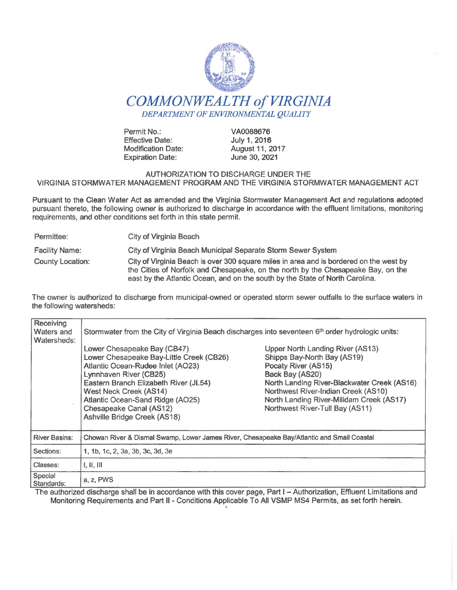

# *COMMONWEALTH of VIRGINIA DEPARTMENT OF ENVIRONMENTAL QUALITY*

Permit No.: Effective Date: Modification Date: Expiration Date:

VA0088676 July 1, 2016 August 11, 2017 June 30, 2021

#### AUTHORIZATION TO DISCHARGE UNDER THE VIRGINIA STORMWATER MANAGEMENT PROGRAM AND THE VIRGINIA STORMWATER MANAGEMENT ACT

Pursuant to the Clean Water Act as amended and the Virginia Stormwater Management Act and regulations adopted pursuant thereto, the following owner is authorized to discharge in accordance with the effluent limitations, monitoring requirements, and other conditions set forth in this state permit.

Permittee: City of Virginia Beach Facility Name: City of Virginia Beach Municipal Separate Storm Sewer System County Location: City of Virginia Beach is over 300 square miles in area and is bordered on the west by the Cities of Norfolk and Chesapeake, on the north by the Chesapeake Bay, on the east by the Atlantic Ocean, and on the south by the State of North Carolina.

The owner is authorized to discharge from municipal-owned or operated storm sewer outfalls to the surface waters in the following watersheds:

| Receiving<br>Waters and<br>Watersheds: | Stormwater from the City of Virginia Beach discharges into seventeen 6 <sup>th</sup> order hydrologic units:                                                                                                                                                                                                    |                                                                                                                                                                                                                                                                                |  |  |  |  |  |
|----------------------------------------|-----------------------------------------------------------------------------------------------------------------------------------------------------------------------------------------------------------------------------------------------------------------------------------------------------------------|--------------------------------------------------------------------------------------------------------------------------------------------------------------------------------------------------------------------------------------------------------------------------------|--|--|--|--|--|
|                                        | Lower Chesapeake Bay (CB47)<br>Lower Chesapeake Bay-Little Creek (CB26)<br>Atlantic Ocean-Rudee Inlet (AO23)<br>Lynnhaven River (CB25)<br>Eastern Branch Elizabeth River (JL54)<br><b>West Neck Creek (AS14)</b><br>Atlantic Ocean-Sand Ridge (AO25)<br>Chesapeake Canal (AS12)<br>Ashville Bridge Creek (AS18) | Upper North Landing River (AS13)<br>Shipps Bay-North Bay (AS19)<br>Pocaty River (AS15)<br>Back Bay (AS20)<br>North Landing River-Blackwater Creek (AS16)<br>Northwest River-Indian Creek (AS10)<br>North Landing River-Milldam Creek (AS17)<br>Northwest River-Tull Bay (AS11) |  |  |  |  |  |
| <b>River Basins:</b>                   | Chowan River & Dismal Swamp, Lower James River, Chesapeake Bay/Atlantic and Small Coastal                                                                                                                                                                                                                       |                                                                                                                                                                                                                                                                                |  |  |  |  |  |
| Sections:                              | 1, 1b, 1c, 2, 3a, 3b, 3c, 3d, 3e                                                                                                                                                                                                                                                                                |                                                                                                                                                                                                                                                                                |  |  |  |  |  |
| Classes:                               | 1, 11, 111                                                                                                                                                                                                                                                                                                      |                                                                                                                                                                                                                                                                                |  |  |  |  |  |
| Special<br>Standards:                  | a, z, PWS                                                                                                                                                                                                                                                                                                       |                                                                                                                                                                                                                                                                                |  |  |  |  |  |

The authorized discharge shall be in accordance with this cover page, Part I - Authorization, Effluent Limitations and Monitoring Requirements and Part II - Conditions Applicable To All VSMP MS4 Permits, as set forth herein. '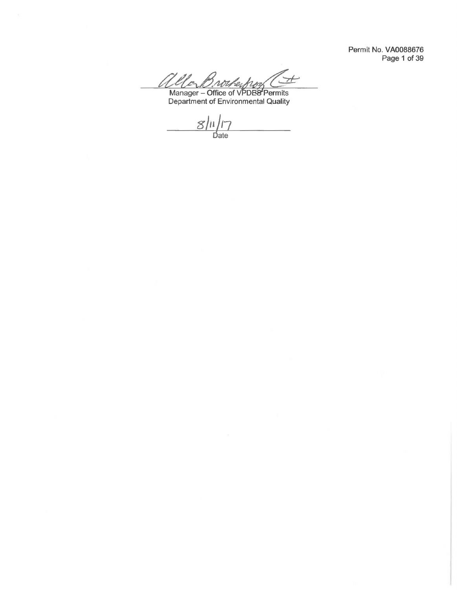Permit No. VA0088676 Page 1 of 39

Ellar  $H$ 110 B. Nother from Community<br>Manager – Office of VPDES Permits<br>Department of Environmental Quality

 $\frac{8}{\frac{11}{7}}$  $\frac{1}{2}$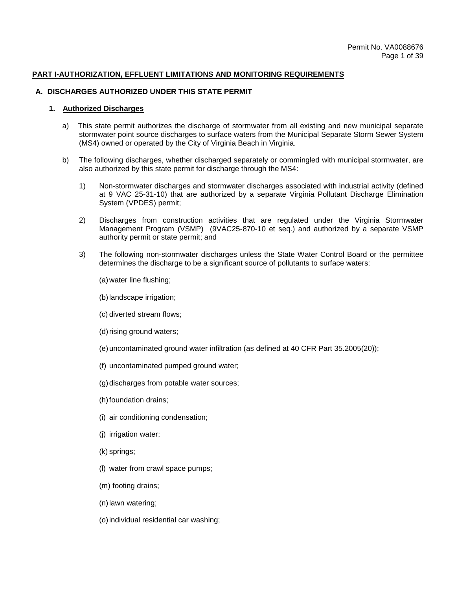#### **PART I-AUTHORIZATION, EFFLUENT LIMITATIONS AND MONITORING REQUIREMENTS**

#### **A. DISCHARGES AUTHORIZED UNDER THIS STATE PERMIT**

## **1. Authorized Discharges**

- a) This state permit authorizes the discharge of stormwater from all existing and new municipal separate stormwater point source discharges to surface waters from the Municipal Separate Storm Sewer System (MS4) owned or operated by the City of Virginia Beach in Virginia.
- b) The following discharges, whether discharged separately or commingled with municipal stormwater, are also authorized by this state permit for discharge through the MS4:
	- 1) Non-stormwater discharges and stormwater discharges associated with industrial activity (defined at 9 VAC 25-31-10) that are authorized by a separate Virginia Pollutant Discharge Elimination System (VPDES) permit;
	- 2) Discharges from construction activities that are regulated under the Virginia Stormwater Management Program (VSMP) (9VAC25-870-10 et seq.) and authorized by a separate VSMP authority permit or state permit; and
	- 3) The following non-stormwater discharges unless the State Water Control Board or the permittee determines the discharge to be a significant source of pollutants to surface waters:
		- (a) water line flushing;
		- (b) landscape irrigation;
		- (c) diverted stream flows;
		- (d) rising ground waters;
		- (e) uncontaminated ground water infiltration (as defined at 40 CFR Part 35.2005(20));
		- (f) uncontaminated pumped ground water;
		- (g) discharges from potable water sources;
		- (h) foundation drains;
		- (i) air conditioning condensation;
		- (j) irrigation water;
		- (k) springs;
		- (l) water from crawl space pumps;
		- (m) footing drains;
		- (n) lawn watering;
		- (o) individual residential car washing;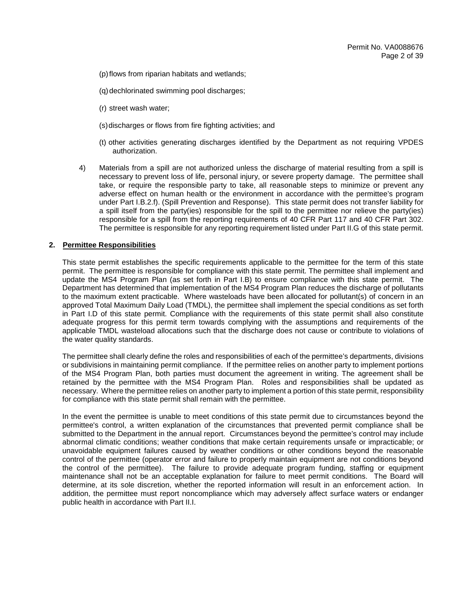- (p) flows from riparian habitats and wetlands;
- (q) dechlorinated swimming pool discharges;
- (r) street wash water;
- (s) discharges or flows from fire fighting activities; and
- (t) other activities generating discharges identified by the Department as not requiring VPDES authorization.
- 4) Materials from a spill are not authorized unless the discharge of material resulting from a spill is necessary to prevent loss of life, personal injury, or severe property damage. The permittee shall take, or require the responsible party to take, all reasonable steps to minimize or prevent any adverse effect on human health or the environment in accordance with the permittee's program under Part I.B.2.f). (Spill Prevention and Response). This state permit does not transfer liability for a spill itself from the party(ies) responsible for the spill to the permittee nor relieve the party(ies) responsible for a spill from the reporting requirements of 40 CFR Part 117 and 40 CFR Part 302. The permittee is responsible for any reporting requirement listed under Part II.G of this state permit.

#### **2. Permittee Responsibilities**

This state permit establishes the specific requirements applicable to the permittee for the term of this state permit. The permittee is responsible for compliance with this state permit. The permittee shall implement and update the MS4 Program Plan (as set forth in Part I.B) to ensure compliance with this state permit. The Department has determined that implementation of the MS4 Program Plan reduces the discharge of pollutants to the maximum extent practicable. Where wasteloads have been allocated for pollutant(s) of concern in an approved Total Maximum Daily Load (TMDL), the permittee shall implement the special conditions as set forth in Part I.D of this state permit. Compliance with the requirements of this state permit shall also constitute adequate progress for this permit term towards complying with the assumptions and requirements of the applicable TMDL wasteload allocations such that the discharge does not cause or contribute to violations of the water quality standards.

The permittee shall clearly define the roles and responsibilities of each of the permittee's departments, divisions or subdivisions in maintaining permit compliance. If the permittee relies on another party to implement portions of the MS4 Program Plan, both parties must document the agreement in writing. The agreement shall be retained by the permittee with the MS4 Program Plan. Roles and responsibilities shall be updated as necessary. Where the permittee relies on another party to implement a portion of this state permit, responsibility for compliance with this state permit shall remain with the permittee.

In the event the permittee is unable to meet conditions of this state permit due to circumstances beyond the permittee's control, a written explanation of the circumstances that prevented permit compliance shall be submitted to the Department in the annual report. Circumstances beyond the permittee's control may include abnormal climatic conditions; weather conditions that make certain requirements unsafe or impracticable; or unavoidable equipment failures caused by weather conditions or other conditions beyond the reasonable control of the permittee (operator error and failure to properly maintain equipment are not conditions beyond the control of the permittee). The failure to provide adequate program funding, staffing or equipment maintenance shall not be an acceptable explanation for failure to meet permit conditions. The Board will determine, at its sole discretion, whether the reported information will result in an enforcement action. In addition, the permittee must report noncompliance which may adversely affect surface waters or endanger public health in accordance with Part II.I.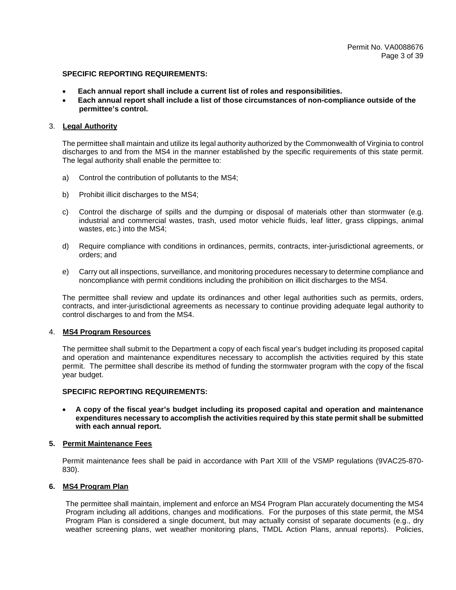- **Each annual report shall include a current list of roles and responsibilities.**
- **Each annual report shall include a list of those circumstances of non-compliance outside of the permittee's control.**

#### 3. **Legal Authority**

The permittee shall maintain and utilize its legal authority authorized by the Commonwealth of Virginia to control discharges to and from the MS4 in the manner established by the specific requirements of this state permit. The legal authority shall enable the permittee to:

- a) Control the contribution of pollutants to the MS4;
- b) Prohibit illicit discharges to the MS4;
- c) Control the discharge of spills and the dumping or disposal of materials other than stormwater (e.g. industrial and commercial wastes, trash, used motor vehicle fluids, leaf litter, grass clippings, animal wastes, etc.) into the MS4;
- d) Require compliance with conditions in ordinances, permits, contracts, inter-jurisdictional agreements, or orders; and
- e) Carry out all inspections, surveillance, and monitoring procedures necessary to determine compliance and noncompliance with permit conditions including the prohibition on illicit discharges to the MS4.

The permittee shall review and update its ordinances and other legal authorities such as permits, orders, contracts, and inter-jurisdictional agreements as necessary to continue providing adequate legal authority to control discharges to and from the MS4.

## 4. **MS4 Program Resources**

The permittee shall submit to the Department a copy of each fiscal year's budget including its proposed capital and operation and maintenance expenditures necessary to accomplish the activities required by this state permit. The permittee shall describe its method of funding the stormwater program with the copy of the fiscal year budget.

#### **SPECIFIC REPORTING REQUIREMENTS:**

• **A copy of the fiscal year's budget including its proposed capital and operation and maintenance expenditures necessary to accomplish the activities required by this state permit shall be submitted with each annual report.** 

#### **5. Permit Maintenance Fees**

Permit maintenance fees shall be paid in accordance with Part XIII of the VSMP regulations (9VAC25-870- 830).

#### **6. MS4 Program Plan**

The permittee shall maintain, implement and enforce an MS4 Program Plan accurately documenting the MS4 Program including all additions, changes and modifications. For the purposes of this state permit, the MS4 Program Plan is considered a single document, but may actually consist of separate documents (e.g., dry weather screening plans, wet weather monitoring plans, TMDL Action Plans, annual reports). Policies,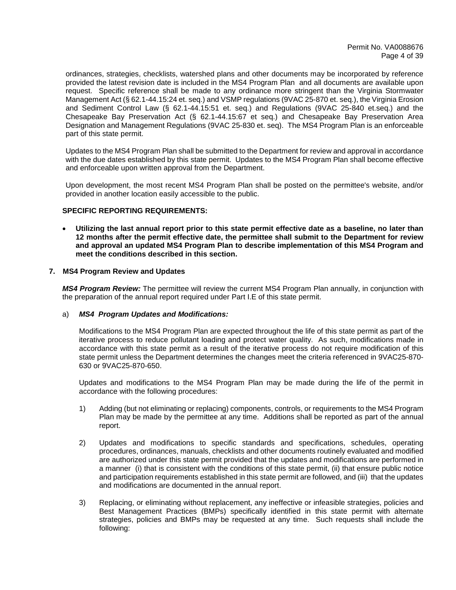ordinances, strategies, checklists, watershed plans and other documents may be incorporated by reference provided the latest revision date is included in the MS4 Program Plan and all documents are available upon request. Specific reference shall be made to any ordinance more stringent than the Virginia Stormwater Management Act (§ 62.1-44.15:24 et. seq.) and VSMP regulations (9VAC 25-870 et. seq.), the Virginia Erosion and Sediment Control Law (§ 62.1-44.15:51 et. seq.) and Regulations (9VAC 25-840 et.seq.) and the Chesapeake Bay Preservation Act (§ 62.1-44.15:67 et seq.) and Chesapeake Bay Preservation Area Designation and Management Regulations (9VAC 25-830 et. seq). The MS4 Program Plan is an enforceable part of this state permit.

Updates to the MS4 Program Plan shall be submitted to the Department for review and approval in accordance with the due dates established by this state permit. Updates to the MS4 Program Plan shall become effective and enforceable upon written approval from the Department.

Upon development, the most recent MS4 Program Plan shall be posted on the permittee's website, and/or provided in another location easily accessible to the public.

## **SPECIFIC REPORTING REQUIREMENTS:**

• **Utilizing the last annual report prior to this state permit effective date as a baseline, no later than 12 months after the permit effective date, the permittee shall submit to the Department for review and approval an updated MS4 Program Plan to describe implementation of this MS4 Program and meet the conditions described in this section.** 

#### **7. MS4 Program Review and Updates**

*MS4 Program Review:* The permittee will review the current MS4 Program Plan annually, in conjunction with the preparation of the annual report required under Part I.E of this state permit.

#### a) *MS4 Program Updates and Modifications:*

Modifications to the MS4 Program Plan are expected throughout the life of this state permit as part of the iterative process to reduce pollutant loading and protect water quality. As such, modifications made in accordance with this state permit as a result of the iterative process do not require modification of this state permit unless the Department determines the changes meet the criteria referenced in 9VAC25-870- 630 or 9VAC25-870-650.

Updates and modifications to the MS4 Program Plan may be made during the life of the permit in accordance with the following procedures:

- 1) Adding (but not eliminating or replacing) components, controls, or requirements to the MS4 Program Plan may be made by the permittee at any time. Additions shall be reported as part of the annual report.
- 2) Updates and modifications to specific standards and specifications, schedules, operating procedures, ordinances, manuals, checklists and other documents routinely evaluated and modified are authorized under this state permit provided that the updates and modifications are performed in a manner (i) that is consistent with the conditions of this state permit, (ii) that ensure public notice and participation requirements established in this state permit are followed, and (iii) that the updates and modifications are documented in the annual report.
- 3) Replacing, or eliminating without replacement, any ineffective or infeasible strategies, policies and Best Management Practices (BMPs) specifically identified in this state permit with alternate strategies, policies and BMPs may be requested at any time. Such requests shall include the following: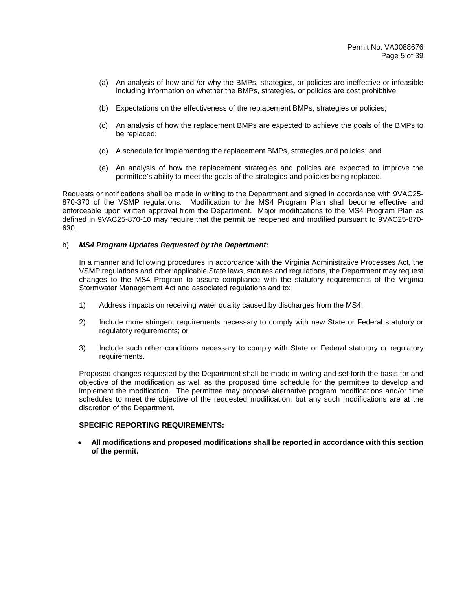- (a) An analysis of how and /or why the BMPs, strategies, or policies are ineffective or infeasible including information on whether the BMPs, strategies, or policies are cost prohibitive;
- (b) Expectations on the effectiveness of the replacement BMPs, strategies or policies;
- (c) An analysis of how the replacement BMPs are expected to achieve the goals of the BMPs to be replaced;
- (d) A schedule for implementing the replacement BMPs, strategies and policies; and
- (e) An analysis of how the replacement strategies and policies are expected to improve the permittee's ability to meet the goals of the strategies and policies being replaced.

Requests or notifications shall be made in writing to the Department and signed in accordance with 9VAC25- 870-370 of the VSMP regulations. Modification to the MS4 Program Plan shall become effective and enforceable upon written approval from the Department. Major modifications to the MS4 Program Plan as defined in 9VAC25-870-10 may require that the permit be reopened and modified pursuant to 9VAC25-870- 630.

## b) *MS4 Program Updates Requested by the Department:*

In a manner and following procedures in accordance with the Virginia Administrative Processes Act, the VSMP regulations and other applicable State laws, statutes and regulations, the Department may request changes to the MS4 Program to assure compliance with the statutory requirements of the Virginia Stormwater Management Act and associated regulations and to:

- 1) Address impacts on receiving water quality caused by discharges from the MS4;
- 2) Include more stringent requirements necessary to comply with new State or Federal statutory or regulatory requirements; or
- 3) Include such other conditions necessary to comply with State or Federal statutory or regulatory requirements.

Proposed changes requested by the Department shall be made in writing and set forth the basis for and objective of the modification as well as the proposed time schedule for the permittee to develop and implement the modification. The permittee may propose alternative program modifications and/or time schedules to meet the objective of the requested modification, but any such modifications are at the discretion of the Department.

## **SPECIFIC REPORTING REQUIREMENTS:**

• **All modifications and proposed modifications shall be reported in accordance with this section of the permit.**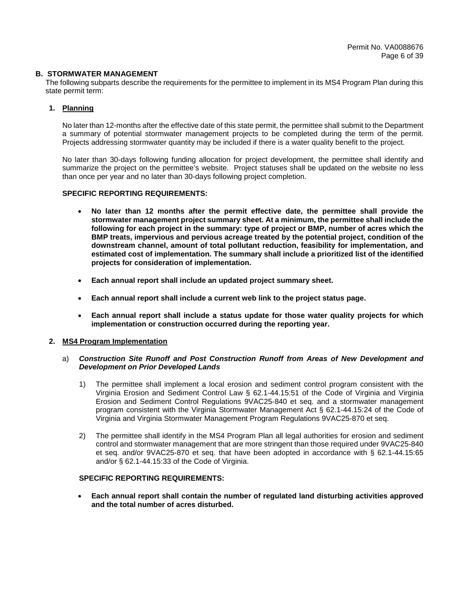## **B. STORMWATER MANAGEMENT**

The following subparts describe the requirements for the permittee to implement in its MS4 Program Plan during this state permit term:

## **1. Planning**

No later than 12-months after the effective date of this state permit, the permittee shall submit to the Department a summary of potential stormwater management projects to be completed during the term of the permit. Projects addressing stormwater quantity may be included if there is a water quality benefit to the project.

No later than 30-days following funding allocation for project development, the permittee shall identify and summarize the project on the permittee's website. Project statuses shall be updated on the website no less than once per year and no later than 30-days following project completion.

# **SPECIFIC REPORTING REQUIREMENTS:**

- **No later than 12 months after the permit effective date, the permittee shall provide the stormwater management project summary sheet. At a minimum, the permittee shall include the following for each project in the summary: type of project or BMP, number of acres which the BMP treats, impervious and pervious acreage treated by the potential project, condition of the downstream channel, amount of total pollutant reduction, feasibility for implementation, and estimated cost of implementation. The summary shall include a prioritized list of the identified projects for consideration of implementation.**
- **Each annual report shall include an updated project summary sheet.**
- **Each annual report shall include a current web link to the project status page.**
- **Each annual report shall include a status update for those water quality projects for which implementation or construction occurred during the reporting year.**

## **2. MS4 Program Implementation**

## a) *Construction Site Runoff and Post Construction Runoff from Areas of New Development and Development on Prior Developed Lands*

- 1) The permittee shall implement a local erosion and sediment control program consistent with the Virginia Erosion and Sediment Control Law § 62.1-44.15:51 of the Code of Virginia and Virginia Erosion and Sediment Control Regulations 9VAC25-840 et seq. and a stormwater management program consistent with the Virginia Stormwater Management Act § 62.1-44.15:24 of the Code of Virginia and Virginia Stormwater Management Program Regulations 9VAC25-870 et seq.
- 2) The permittee shall identify in the MS4 Program Plan all legal authorities for erosion and sediment control and stormwater management that are more stringent than those required under 9VAC25-840 et seq. and/or 9VAC25-870 et seq. that have been adopted in accordance with § 62.1-44.15:65 and/or § 62.1-44.15:33 of the Code of Virginia.

#### **SPECIFIC REPORTING REQUIREMENTS:**

• **Each annual report shall contain the number of regulated land disturbing activities approved and the total number of acres disturbed.**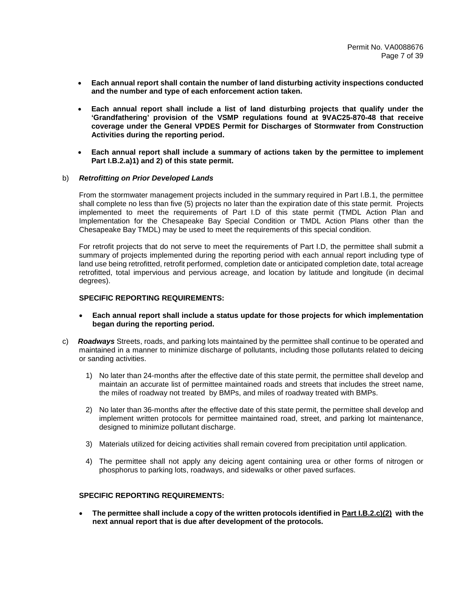- **Each annual report shall contain the number of land disturbing activity inspections conducted and the number and type of each enforcement action taken.**
- **Each annual report shall include a list of land disturbing projects that qualify under the 'Grandfathering' provision of the VSMP regulations found at 9VAC25-870-48 that receive coverage under the General VPDES Permit for Discharges of Stormwater from Construction Activities during the reporting period.**
- **Each annual report shall include a summary of actions taken by the permittee to implement Part I.B.2.a)1) and 2) of this state permit.**

#### b) *Retrofitting on Prior Developed Lands*

From the stormwater management projects included in the summary required in Part I.B.1, the permittee shall complete no less than five (5) projects no later than the expiration date of this state permit. Projects implemented to meet the requirements of Part I.D of this state permit (TMDL Action Plan and Implementation for the Chesapeake Bay Special Condition or TMDL Action Plans other than the Chesapeake Bay TMDL) may be used to meet the requirements of this special condition.

For retrofit projects that do not serve to meet the requirements of Part I.D, the permittee shall submit a summary of projects implemented during the reporting period with each annual report including type of land use being retrofitted, retrofit performed, completion date or anticipated completion date, total acreage retrofitted, total impervious and pervious acreage, and location by latitude and longitude (in decimal degrees).

#### **SPECIFIC REPORTING REQUIREMENTS:**

- **Each annual report shall include a status update for those projects for which implementation began during the reporting period.**
- c) *Roadways* Streets, roads, and parking lots maintained by the permittee shall continue to be operated and maintained in a manner to minimize discharge of pollutants, including those pollutants related to deicing or sanding activities.
	- 1) No later than 24-months after the effective date of this state permit, the permittee shall develop and maintain an accurate list of permittee maintained roads and streets that includes the street name, the miles of roadway not treated by BMPs, and miles of roadway treated with BMPs.
	- 2) No later than 36-months after the effective date of this state permit, the permittee shall develop and implement written protocols for permittee maintained road, street, and parking lot maintenance, designed to minimize pollutant discharge.
	- 3) Materials utilized for deicing activities shall remain covered from precipitation until application.
	- 4) The permittee shall not apply any deicing agent containing urea or other forms of nitrogen or phosphorus to parking lots, roadways, and sidewalks or other paved surfaces.

## **SPECIFIC REPORTING REQUIREMENTS:**

• **The permittee shall include a copy of the written protocols identified in Part I.B.2.c)(2) with the next annual report that is due after development of the protocols.**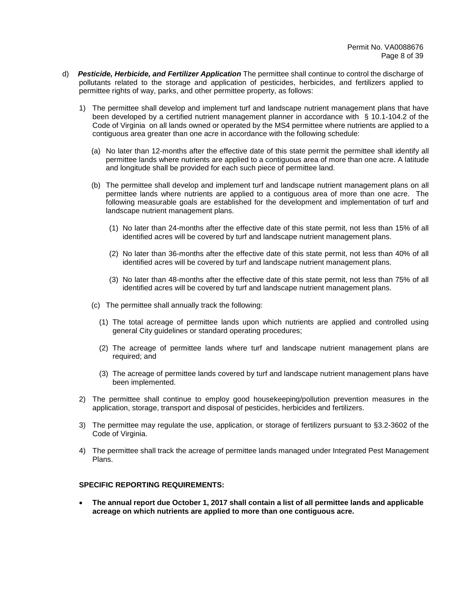- d) *Pesticide, Herbicide, and Fertilizer Application* The permittee shall continue to control the discharge of pollutants related to the storage and application of pesticides, herbicides, and fertilizers applied to permittee rights of way, parks, and other permittee property, as follows:
	- 1) The permittee shall develop and implement turf and landscape nutrient management plans that have been developed by a certified nutrient management planner in accordance with § 10.1-104.2 of the Code of Virginia on all lands owned or operated by the MS4 permittee where nutrients are applied to a contiguous area greater than one acre in accordance with the following schedule:
		- (a) No later than 12-months after the effective date of this state permit the permittee shall identify all permittee lands where nutrients are applied to a contiguous area of more than one acre. A latitude and longitude shall be provided for each such piece of permittee land.
		- (b) The permittee shall develop and implement turf and landscape nutrient management plans on all permittee lands where nutrients are applied to a contiguous area of more than one acre. The following measurable goals are established for the development and implementation of turf and landscape nutrient management plans.
			- (1) No later than 24-months after the effective date of this state permit, not less than 15% of all identified acres will be covered by turf and landscape nutrient management plans.
			- (2) No later than 36-months after the effective date of this state permit, not less than 40% of all identified acres will be covered by turf and landscape nutrient management plans.
			- (3) No later than 48-months after the effective date of this state permit, not less than 75% of all identified acres will be covered by turf and landscape nutrient management plans.
		- (c) The permittee shall annually track the following:
			- (1) The total acreage of permittee lands upon which nutrients are applied and controlled using general City guidelines or standard operating procedures;
			- (2) The acreage of permittee lands where turf and landscape nutrient management plans are required; and
			- (3) The acreage of permittee lands covered by turf and landscape nutrient management plans have been implemented.
	- 2) The permittee shall continue to employ good housekeeping/pollution prevention measures in the application, storage, transport and disposal of pesticides, herbicides and fertilizers.
	- 3) The permittee may regulate the use, application, or storage of fertilizers pursuant to §3.2-3602 of the Code of Virginia.
	- 4) The permittee shall track the acreage of permittee lands managed under Integrated Pest Management Plans.

• **The annual report due October 1, 2017 shall contain a list of all permittee lands and applicable acreage on which nutrients are applied to more than one contiguous acre.**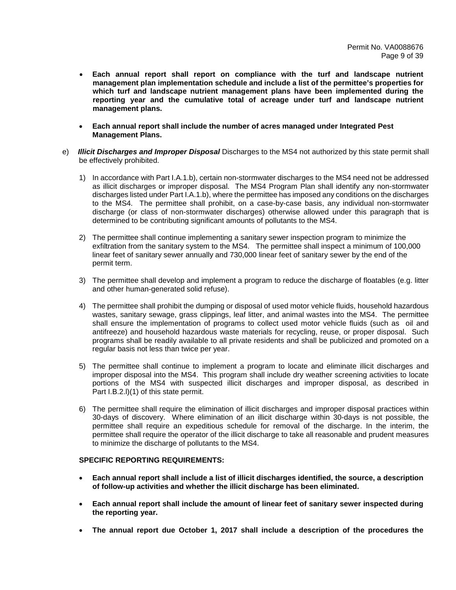- **Each annual report shall report on compliance with the turf and landscape nutrient management plan implementation schedule and include a list of the permittee's properties for which turf and landscape nutrient management plans have been implemented during the reporting year and the cumulative total of acreage under turf and landscape nutrient management plans.**
- **Each annual report shall include the number of acres managed under Integrated Pest Management Plans.**
- e) *Illicit Discharges and Improper Disposal* Discharges to the MS4 not authorized by this state permit shall be effectively prohibited.
	- 1) In accordance with Part I.A.1.b), certain non-stormwater discharges to the MS4 need not be addressed as illicit discharges or improper disposal. The MS4 Program Plan shall identify any non-stormwater discharges listed under Part I.A.1.b), where the permittee has imposed any conditions on the discharges to the MS4. The permittee shall prohibit, on a case-by-case basis, any individual non-stormwater discharge (or class of non-stormwater discharges) otherwise allowed under this paragraph that is determined to be contributing significant amounts of pollutants to the MS4.
	- 2) The permittee shall continue implementing a sanitary sewer inspection program to minimize the exfiltration from the sanitary system to the MS4. The permittee shall inspect a minimum of 100,000 linear feet of sanitary sewer annually and 730,000 linear feet of sanitary sewer by the end of the permit term.
	- 3) The permittee shall develop and implement a program to reduce the discharge of floatables (e.g. litter and other human-generated solid refuse).
	- 4) The permittee shall prohibit the dumping or disposal of used motor vehicle fluids, household hazardous wastes, sanitary sewage, grass clippings, leaf litter, and animal wastes into the MS4. The permittee shall ensure the implementation of programs to collect used motor vehicle fluids (such as oil and antifreeze) and household hazardous waste materials for recycling, reuse, or proper disposal. Such programs shall be readily available to all private residents and shall be publicized and promoted on a regular basis not less than twice per year.
	- 5) The permittee shall continue to implement a program to locate and eliminate illicit discharges and improper disposal into the MS4. This program shall include dry weather screening activities to locate portions of the MS4 with suspected illicit discharges and improper disposal, as described in Part I.B.2.l)(1) of this state permit.
	- 6) The permittee shall require the elimination of illicit discharges and improper disposal practices within 30-days of discovery. Where elimination of an illicit discharge within 30-days is not possible, the permittee shall require an expeditious schedule for removal of the discharge. In the interim, the permittee shall require the operator of the illicit discharge to take all reasonable and prudent measures to minimize the discharge of pollutants to the MS4.

- **Each annual report shall include a list of illicit discharges identified, the source, a description of follow-up activities and whether the illicit discharge has been eliminated.**
- **Each annual report shall include the amount of linear feet of sanitary sewer inspected during the reporting year.**
- **The annual report due October 1, 2017 shall include a description of the procedures the**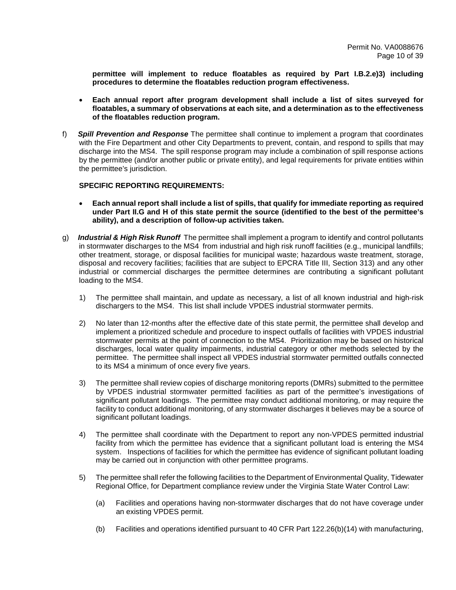**permittee will implement to reduce floatables as required by Part I.B.2.e)3) including procedures to determine the floatables reduction program effectiveness.** 

- **Each annual report after program development shall include a list of sites surveyed for floatables, a summary of observations at each site, and a determination as to the effectiveness of the floatables reduction program.**
- f) *Spill Prevention and Response* The permittee shall continue to implement a program that coordinates with the Fire Department and other City Departments to prevent, contain, and respond to spills that may discharge into the MS4. The spill response program may include a combination of spill response actions by the permittee (and/or another public or private entity), and legal requirements for private entities within the permittee's jurisdiction.

- **Each annual report shall include a list of spills, that qualify for immediate reporting as required under Part II.G and H of this state permit the source (identified to the best of the permittee's ability), and a description of follow-up activities taken.**
- g) *Industrial & High Risk Runoff* The permittee shall implement a program to identify and control pollutants in stormwater discharges to the MS4 from industrial and high risk runoff facilities (e.g., municipal landfills; other treatment, storage, or disposal facilities for municipal waste; hazardous waste treatment, storage, disposal and recovery facilities; facilities that are subject to EPCRA Title III, Section 313) and any other industrial or commercial discharges the permittee determines are contributing a significant pollutant loading to the MS4.
	- 1) The permittee shall maintain, and update as necessary, a list of all known industrial and high-risk dischargers to the MS4. This list shall include VPDES industrial stormwater permits.
	- 2) No later than 12-months after the effective date of this state permit, the permittee shall develop and implement a prioritized schedule and procedure to inspect outfalls of facilities with VPDES industrial stormwater permits at the point of connection to the MS4. Prioritization may be based on historical discharges, local water quality impairments, industrial category or other methods selected by the permittee. The permittee shall inspect all VPDES industrial stormwater permitted outfalls connected to its MS4 a minimum of once every five years.
	- 3) The permittee shall review copies of discharge monitoring reports (DMRs) submitted to the permittee by VPDES industrial stormwater permitted facilities as part of the permittee's investigations of significant pollutant loadings. The permittee may conduct additional monitoring, or may require the facility to conduct additional monitoring, of any stormwater discharges it believes may be a source of significant pollutant loadings.
	- 4) The permittee shall coordinate with the Department to report any non-VPDES permitted industrial facility from which the permittee has evidence that a significant pollutant load is entering the MS4 system. Inspections of facilities for which the permittee has evidence of significant pollutant loading may be carried out in conjunction with other permittee programs.
	- 5) The permittee shall refer the following facilities to the Department of Environmental Quality, Tidewater Regional Office, for Department compliance review under the Virginia State Water Control Law:
		- (a) Facilities and operations having non-stormwater discharges that do not have coverage under an existing VPDES permit.
		- (b) Facilities and operations identified pursuant to 40 CFR Part 122.26(b)(14) with manufacturing,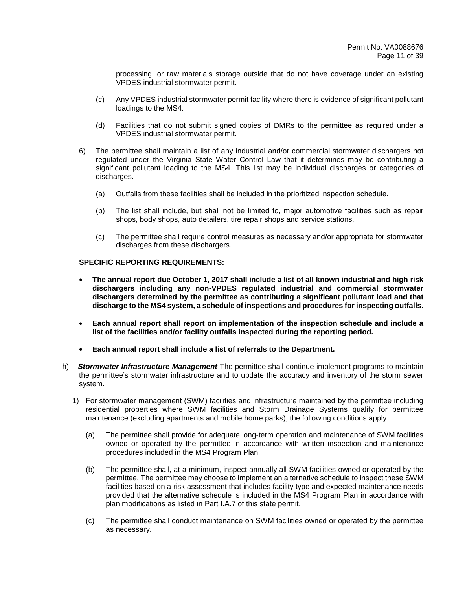processing, or raw materials storage outside that do not have coverage under an existing VPDES industrial stormwater permit.

- (c) Any VPDES industrial stormwater permit facility where there is evidence of significant pollutant loadings to the MS4.
- (d) Facilities that do not submit signed copies of DMRs to the permittee as required under a VPDES industrial stormwater permit.
- 6) The permittee shall maintain a list of any industrial and/or commercial stormwater dischargers not regulated under the Virginia State Water Control Law that it determines may be contributing a significant pollutant loading to the MS4. This list may be individual discharges or categories of discharges.
	- (a) Outfalls from these facilities shall be included in the prioritized inspection schedule.
	- (b) The list shall include, but shall not be limited to, major automotive facilities such as repair shops, body shops, auto detailers, tire repair shops and service stations.
	- (c) The permittee shall require control measures as necessary and/or appropriate for stormwater discharges from these dischargers.

- **The annual report due October 1, 2017 shall include a list of all known industrial and high risk dischargers including any non-VPDES regulated industrial and commercial stormwater dischargers determined by the permittee as contributing a significant pollutant load and that discharge to the MS4 system, a schedule of inspections and procedures for inspecting outfalls.**
- **Each annual report shall report on implementation of the inspection schedule and include a list of the facilities and/or facility outfalls inspected during the reporting period.**
- **Each annual report shall include a list of referrals to the Department.**
- h) *Stormwater Infrastructure Management* The permittee shall continue implement programs to maintain the permittee's stormwater infrastructure and to update the accuracy and inventory of the storm sewer system.
	- 1) For stormwater management (SWM) facilities and infrastructure maintained by the permittee including residential properties where SWM facilities and Storm Drainage Systems qualify for permittee maintenance (excluding apartments and mobile home parks), the following conditions apply:
		- (a) The permittee shall provide for adequate long-term operation and maintenance of SWM facilities owned or operated by the permittee in accordance with written inspection and maintenance procedures included in the MS4 Program Plan.
		- (b) The permittee shall, at a minimum, inspect annually all SWM facilities owned or operated by the permittee. The permittee may choose to implement an alternative schedule to inspect these SWM facilities based on a risk assessment that includes facility type and expected maintenance needs provided that the alternative schedule is included in the MS4 Program Plan in accordance with plan modifications as listed in Part I.A.7 of this state permit.
		- (c) The permittee shall conduct maintenance on SWM facilities owned or operated by the permittee as necessary.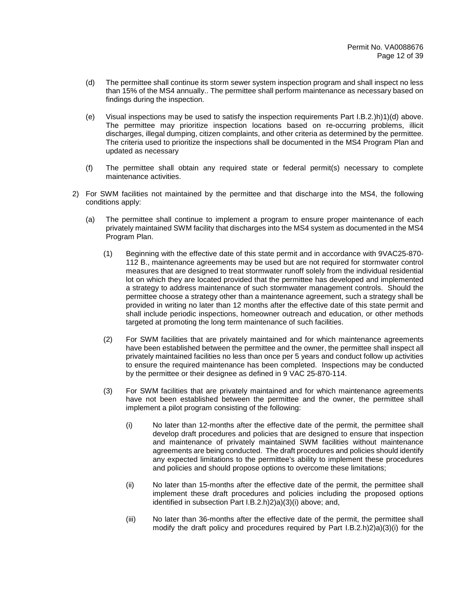- (d) The permittee shall continue its storm sewer system inspection program and shall inspect no less than 15% of the MS4 annually.. The permittee shall perform maintenance as necessary based on findings during the inspection.
- (e) Visual inspections may be used to satisfy the inspection requirements Part I.B.2.)h)1)(d) above. The permittee may prioritize inspection locations based on re-occurring problems, illicit discharges, illegal dumping, citizen complaints, and other criteria as determined by the permittee. The criteria used to prioritize the inspections shall be documented in the MS4 Program Plan and updated as necessary
- (f) The permittee shall obtain any required state or federal permit(s) necessary to complete maintenance activities.
- 2) For SWM facilities not maintained by the permittee and that discharge into the MS4, the following conditions apply:
	- (a) The permittee shall continue to implement a program to ensure proper maintenance of each privately maintained SWM facility that discharges into the MS4 system as documented in the MS4 Program Plan.
		- (1) Beginning with the effective date of this state permit and in accordance with 9VAC25-870- 112 B., maintenance agreements may be used but are not required for stormwater control measures that are designed to treat stormwater runoff solely from the individual residential lot on which they are located provided that the permittee has developed and implemented a strategy to address maintenance of such stormwater management controls. Should the permittee choose a strategy other than a maintenance agreement, such a strategy shall be provided in writing no later than 12 months after the effective date of this state permit and shall include periodic inspections, homeowner outreach and education, or other methods targeted at promoting the long term maintenance of such facilities.
		- (2) For SWM facilities that are privately maintained and for which maintenance agreements have been established between the permittee and the owner, the permittee shall inspect all privately maintained facilities no less than once per 5 years and conduct follow up activities to ensure the required maintenance has been completed. Inspections may be conducted by the permittee or their designee as defined in 9 VAC 25-870-114.
		- (3) For SWM facilities that are privately maintained and for which maintenance agreements have not been established between the permittee and the owner, the permittee shall implement a pilot program consisting of the following:
			- (i) No later than 12-months after the effective date of the permit, the permittee shall develop draft procedures and policies that are designed to ensure that inspection and maintenance of privately maintained SWM facilities without maintenance agreements are being conducted. The draft procedures and policies should identify any expected limitations to the permittee's ability to implement these procedures and policies and should propose options to overcome these limitations;
			- (ii) No later than 15-months after the effective date of the permit, the permittee shall implement these draft procedures and policies including the proposed options identified in subsection Part I.B.2.h)2)a)(3)(i) above; and,
			- (iii) No later than 36-months after the effective date of the permit, the permittee shall modify the draft policy and procedures required by Part I.B.2.h)2)a)(3)(i) for the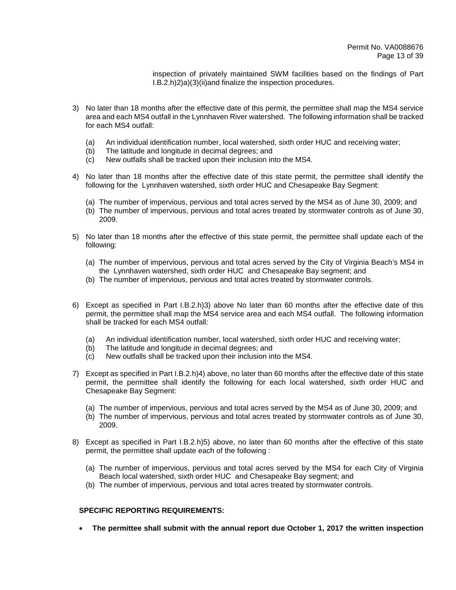inspection of privately maintained SWM facilities based on the findings of Part I.B.2.h)2)a)(3)(ii)and finalize the inspection procedures.

- 3) No later than 18 months after the effective date of this permit, the permittee shall map the MS4 service area and each MS4 outfall in the Lynnhaven River watershed. The following information shall be tracked for each MS4 outfall:
	- (a) An individual identification number, local watershed, sixth order HUC and receiving water;
	- (b) The latitude and longitude in decimal degrees; and
	- (c) New outfalls shall be tracked upon their inclusion into the MS4.
- 4) No later than 18 months after the effective date of this state permit, the permittee shall identify the following for the Lynnhaven watershed, sixth order HUC and Chesapeake Bay Segment:
	- (a) The number of impervious, pervious and total acres served by the MS4 as of June 30, 2009; and
	- (b) The number of impervious, pervious and total acres treated by stormwater controls as of June 30, 2009.
- 5) No later than 18 months after the effective of this state permit, the permittee shall update each of the following:
	- (a) The number of impervious, pervious and total acres served by the City of Virginia Beach's MS4 in the Lynnhaven watershed, sixth order HUC and Chesapeake Bay segment; and
	- (b) The number of impervious, pervious and total acres treated by stormwater controls.
- 6) Except as specified in Part I.B.2.h)3) above No later than 60 months after the effective date of this permit, the permittee shall map the MS4 service area and each MS4 outfall. The following information shall be tracked for each MS4 outfall:
	- (a) An individual identification number, local watershed, sixth order HUC and receiving water;
	- (b) The latitude and longitude in decimal degrees; and
	- (c) New outfalls shall be tracked upon their inclusion into the MS4.
- 7) Except as specified in Part I.B.2.h)4) above, no later than 60 months after the effective date of this state permit, the permittee shall identify the following for each local watershed, sixth order HUC and Chesapeake Bay Segment:
	- (a) The number of impervious, pervious and total acres served by the MS4 as of June 30, 2009; and
	- (b) The number of impervious, pervious and total acres treated by stormwater controls as of June 30, 2009.
- 8) Except as specified in Part I.B.2.h)5) above, no later than 60 months after the effective of this state permit, the permittee shall update each of the following :
	- (a) The number of impervious, pervious and total acres served by the MS4 for each City of Virginia Beach local watershed, sixth order HUC and Chesapeake Bay segment; and
	- (b) The number of impervious, pervious and total acres treated by stormwater controls.

#### **SPECIFIC REPORTING REQUIREMENTS:**

• **The permittee shall submit with the annual report due October 1, 2017 the written inspection**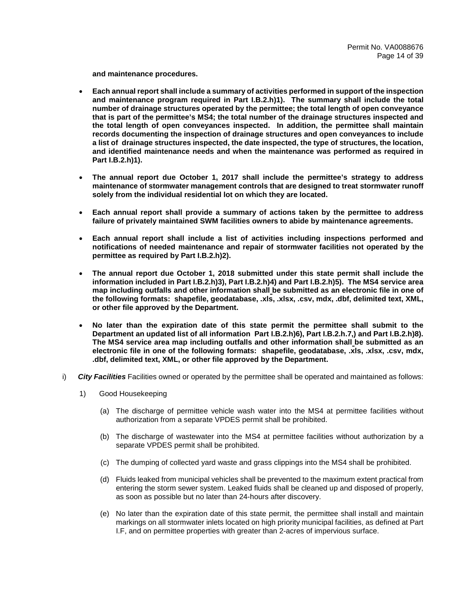**and maintenance procedures.** 

- **Each annual report shall include a summary of activities performed in support of the inspection and maintenance program required in Part I.B.2.h)1). The summary shall include the total number of drainage structures operated by the permittee; the total length of open conveyance that is part of the permittee's MS4; the total number of the drainage structures inspected and the total length of open conveyances inspected. In addition, the permittee shall maintain records documenting the inspection of drainage structures and open conveyances to include a list of drainage structures inspected, the date inspected, the type of structures, the location, and identified maintenance needs and when the maintenance was performed as required in Part I.B.2.h)1).**
- **The annual report due October 1, 2017 shall include the permittee's strategy to address maintenance of stormwater management controls that are designed to treat stormwater runoff solely from the individual residential lot on which they are located.**
- **Each annual report shall provide a summary of actions taken by the permittee to address failure of privately maintained SWM facilities owners to abide by maintenance agreements.**
- **Each annual report shall include a list of activities including inspections performed and notifications of needed maintenance and repair of stormwater facilities not operated by the permittee as required by Part I.B.2.h)2).**
- **The annual report due October 1, 2018 submitted under this state permit shall include the information included in Part I.B.2.h)3), Part I.B.2.h)4) and Part I.B.2.h)5). The MS4 service area map including outfalls and other information shall be submitted as an electronic file in one of the following formats: shapefile, geodatabase, .xls, .xlsx, .csv, mdx, .dbf, delimited text, XML, or other file approved by the Department.**
- **No later than the expiration date of this state permit the permittee shall submit to the Department an updated list of all information Part I.B.2.h)6), Part I.B.2.h.7,) and Part I.B.2.h)8). The MS4 service area map including outfalls and other information shall be submitted as an electronic file in one of the following formats: shapefile, geodatabase, .xls, .xlsx, .csv, mdx, .dbf, delimited text, XML, or other file approved by the Department.**
- i) *City Facilities* Facilities owned or operated by the permittee shall be operated and maintained as follows:
	- 1) Good Housekeeping
		- (a) The discharge of permittee vehicle wash water into the MS4 at permittee facilities without authorization from a separate VPDES permit shall be prohibited.
		- (b) The discharge of wastewater into the MS4 at permittee facilities without authorization by a separate VPDES permit shall be prohibited.
		- (c) The dumping of collected yard waste and grass clippings into the MS4 shall be prohibited.
		- (d) Fluids leaked from municipal vehicles shall be prevented to the maximum extent practical from entering the storm sewer system. Leaked fluids shall be cleaned up and disposed of properly, as soon as possible but no later than 24-hours after discovery.
		- (e) No later than the expiration date of this state permit, the permittee shall install and maintain markings on all stormwater inlets located on high priority municipal facilities, as defined at Part I.F, and on permittee properties with greater than 2-acres of impervious surface.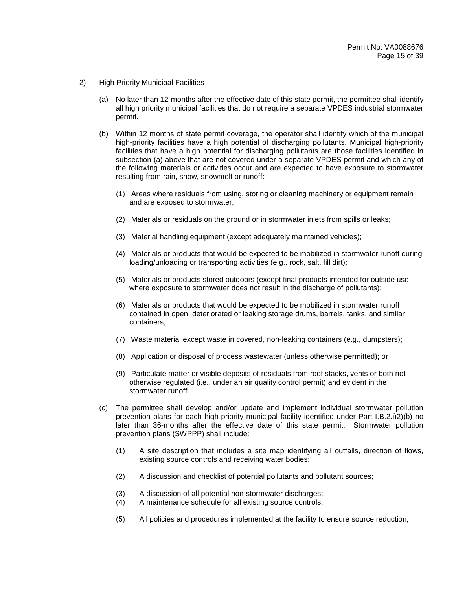- 2) High Priority Municipal Facilities
	- (a) No later than 12-months after the effective date of this state permit, the permittee shall identify all high priority municipal facilities that do not require a separate VPDES industrial stormwater permit.
	- (b) Within 12 months of state permit coverage, the operator shall identify which of the municipal high-priority facilities have a high potential of discharging pollutants. Municipal high-priority facilities that have a high potential for discharging pollutants are those facilities identified in subsection (a) above that are not covered under a separate VPDES permit and which any of the following materials or activities occur and are expected to have exposure to stormwater resulting from rain, snow, snowmelt or runoff:
		- (1) Areas where residuals from using, storing or cleaning machinery or equipment remain and are exposed to stormwater;
		- (2) Materials or residuals on the ground or in stormwater inlets from spills or leaks;
		- (3) Material handling equipment (except adequately maintained vehicles);
		- (4) Materials or products that would be expected to be mobilized in stormwater runoff during loading/unloading or transporting activities (e.g., rock, salt, fill dirt);
		- (5) Materials or products stored outdoors (except final products intended for outside use where exposure to stormwater does not result in the discharge of pollutants);
		- (6) Materials or products that would be expected to be mobilized in stormwater runoff contained in open, deteriorated or leaking storage drums, barrels, tanks, and similar containers;
		- (7) Waste material except waste in covered, non-leaking containers (e.g., dumpsters);
		- (8) Application or disposal of process wastewater (unless otherwise permitted); or
		- (9) Particulate matter or visible deposits of residuals from roof stacks, vents or both not otherwise regulated (i.e., under an air quality control permit) and evident in the stormwater runoff.
	- (c) The permittee shall develop and/or update and implement individual stormwater pollution prevention plans for each high-priority municipal facility identified under Part I.B.2.i)2)(b) no later than 36-months after the effective date of this state permit. Stormwater pollution prevention plans (SWPPP) shall include:
		- (1) A site description that includes a site map identifying all outfalls, direction of flows, existing source controls and receiving water bodies;
		- (2) A discussion and checklist of potential pollutants and pollutant sources;
		- (3) A discussion of all potential non-stormwater discharges;
		- (4) A maintenance schedule for all existing source controls;
		- (5) All policies and procedures implemented at the facility to ensure source reduction;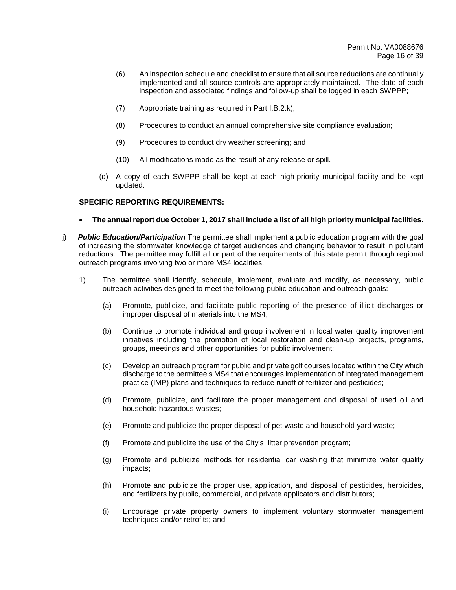- (6) An inspection schedule and checklist to ensure that all source reductions are continually implemented and all source controls are appropriately maintained. The date of each inspection and associated findings and follow-up shall be logged in each SWPPP;
- (7) Appropriate training as required in Part I.B.2.k);
- (8) Procedures to conduct an annual comprehensive site compliance evaluation;
- (9) Procedures to conduct dry weather screening; and
- (10) All modifications made as the result of any release or spill.
- (d) A copy of each SWPPP shall be kept at each high-priority municipal facility and be kept updated.

- **The annual report due October 1, 2017 shall include a list of all high priority municipal facilities.**
- j) *Public Education/Participation* The permittee shall implement a public education program with the goal of increasing the stormwater knowledge of target audiences and changing behavior to result in pollutant reductions. The permittee may fulfill all or part of the requirements of this state permit through regional outreach programs involving two or more MS4 localities.
	- 1) The permittee shall identify, schedule, implement, evaluate and modify, as necessary, public outreach activities designed to meet the following public education and outreach goals:
		- (a) Promote, publicize, and facilitate public reporting of the presence of illicit discharges or improper disposal of materials into the MS4;
		- (b) Continue to promote individual and group involvement in local water quality improvement initiatives including the promotion of local restoration and clean-up projects, programs, groups, meetings and other opportunities for public involvement;
		- (c) Develop an outreach program for public and private golf courses located within the City which discharge to the permittee's MS4 that encourages implementation of integrated management practice (IMP) plans and techniques to reduce runoff of fertilizer and pesticides;
		- (d) Promote, publicize, and facilitate the proper management and disposal of used oil and household hazardous wastes;
		- (e) Promote and publicize the proper disposal of pet waste and household yard waste;
		- (f) Promote and publicize the use of the City's litter prevention program;
		- (g) Promote and publicize methods for residential car washing that minimize water quality impacts;
		- (h) Promote and publicize the proper use, application, and disposal of pesticides, herbicides, and fertilizers by public, commercial, and private applicators and distributors;
		- (i) Encourage private property owners to implement voluntary stormwater management techniques and/or retrofits; and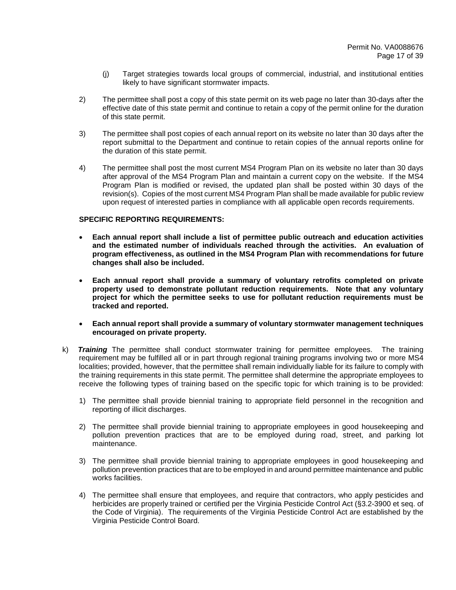- (j) Target strategies towards local groups of commercial, industrial, and institutional entities likely to have significant stormwater impacts.
- 2) The permittee shall post a copy of this state permit on its web page no later than 30-days after the effective date of this state permit and continue to retain a copy of the permit online for the duration of this state permit.
- 3) The permittee shall post copies of each annual report on its website no later than 30 days after the report submittal to the Department and continue to retain copies of the annual reports online for the duration of this state permit.
- 4) The permittee shall post the most current MS4 Program Plan on its website no later than 30 days after approval of the MS4 Program Plan and maintain a current copy on the website. If the MS4 Program Plan is modified or revised, the updated plan shall be posted within 30 days of the revision(s). Copies of the most current MS4 Program Plan shall be made available for public review upon request of interested parties in compliance with all applicable open records requirements.

- **Each annual report shall include a list of permittee public outreach and education activities and the estimated number of individuals reached through the activities. An evaluation of program effectiveness, as outlined in the MS4 Program Plan with recommendations for future changes shall also be included.**
- **Each annual report shall provide a summary of voluntary retrofits completed on private property used to demonstrate pollutant reduction requirements. Note that any voluntary project for which the permittee seeks to use for pollutant reduction requirements must be tracked and reported.**
- **Each annual report shall provide a summary of voluntary stormwater management techniques encouraged on private property.**
- k) *Training* The permittee shall conduct stormwater training for permittee employees. The training requirement may be fulfilled all or in part through regional training programs involving two or more MS4 localities; provided, however, that the permittee shall remain individually liable for its failure to comply with the training requirements in this state permit. The permittee shall determine the appropriate employees to receive the following types of training based on the specific topic for which training is to be provided:
	- 1) The permittee shall provide biennial training to appropriate field personnel in the recognition and reporting of illicit discharges.
	- 2) The permittee shall provide biennial training to appropriate employees in good housekeeping and pollution prevention practices that are to be employed during road, street, and parking lot maintenance.
	- 3) The permittee shall provide biennial training to appropriate employees in good housekeeping and pollution prevention practices that are to be employed in and around permittee maintenance and public works facilities.
	- 4) The permittee shall ensure that employees, and require that contractors, who apply pesticides and herbicides are properly trained or certified per the Virginia Pesticide Control Act (§3.2-3900 et seq. of the Code of Virginia). The requirements of the Virginia Pesticide Control Act are established by the Virginia Pesticide Control Board.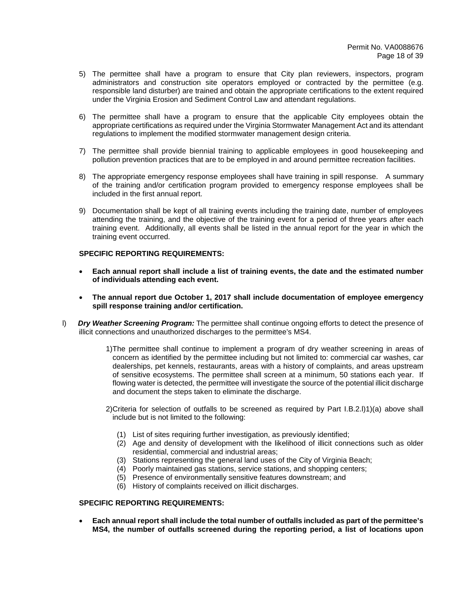- 5) The permittee shall have a program to ensure that City plan reviewers, inspectors, program administrators and construction site operators employed or contracted by the permittee (e.g. responsible land disturber) are trained and obtain the appropriate certifications to the extent required under the Virginia Erosion and Sediment Control Law and attendant regulations.
- 6) The permittee shall have a program to ensure that the applicable City employees obtain the appropriate certifications as required under the Virginia Stormwater Management Act and its attendant regulations to implement the modified stormwater management design criteria.
- 7) The permittee shall provide biennial training to applicable employees in good housekeeping and pollution prevention practices that are to be employed in and around permittee recreation facilities.
- 8) The appropriate emergency response employees shall have training in spill response. A summary of the training and/or certification program provided to emergency response employees shall be included in the first annual report.
- 9) Documentation shall be kept of all training events including the training date, number of employees attending the training, and the objective of the training event for a period of three years after each training event. Additionally, all events shall be listed in the annual report for the year in which the training event occurred.

- **Each annual report shall include a list of training events, the date and the estimated number of individuals attending each event.**
- **The annual report due October 1, 2017 shall include documentation of employee emergency spill response training and/or certification.**
- l) *Dry Weather Screening Program:* The permittee shall continue ongoing efforts to detect the presence of illicit connections and unauthorized discharges to the permittee's MS4.
	- 1) The permittee shall continue to implement a program of dry weather screening in areas of concern as identified by the permittee including but not limited to: commercial car washes, car dealerships, pet kennels, restaurants, areas with a history of complaints, and areas upstream of sensitive ecosystems. The permittee shall screen at a minimum, 50 stations each year. If flowing water is detected, the permittee will investigate the source of the potential illicit discharge and document the steps taken to eliminate the discharge.
	- 2) Criteria for selection of outfalls to be screened as required by Part I.B.2.l)1)(a) above shall include but is not limited to the following:
		- (1) List of sites requiring further investigation, as previously identified;
		- (2) Age and density of development with the likelihood of illicit connections such as older residential, commercial and industrial areas;
		- (3) Stations representing the general land uses of the City of Virginia Beach;
		- (4) Poorly maintained gas stations, service stations, and shopping centers;
		- (5) Presence of environmentally sensitive features downstream; and
		- (6) History of complaints received on illicit discharges.

## **SPECIFIC REPORTING REQUIREMENTS:**

• **Each annual report shall include the total number of outfalls included as part of the permittee's MS4, the number of outfalls screened during the reporting period, a list of locations upon**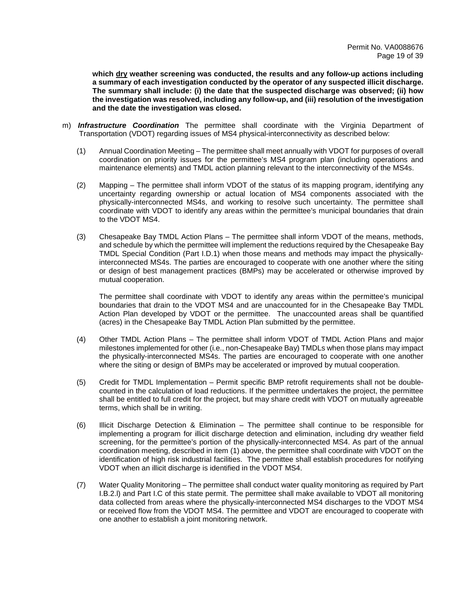**which dry weather screening was conducted, the results and any follo***w***-up actions including a summary of each investigation conducted by the operator of any suspected illicit discharge. The summary shall include: (i) the date that the suspected discharge was observed; (ii) how the investigation was resolved, including any follow-up, and (iii) resolution of the investigation and the date the investigation was closed.** 

- m) *Infrastructure Coordination* The permittee shall coordinate with the Virginia Department of Transportation (VDOT) regarding issues of MS4 physical-interconnectivity as described below:
	- (1) Annual Coordination Meeting The permittee shall meet annually with VDOT for purposes of overall coordination on priority issues for the permittee's MS4 program plan (including operations and maintenance elements) and TMDL action planning relevant to the interconnectivity of the MS4s.
	- (2) Mapping The permittee shall inform VDOT of the status of its mapping program, identifying any uncertainty regarding ownership or actual location of MS4 components associated with the physically-interconnected MS4s, and working to resolve such uncertainty. The permittee shall coordinate with VDOT to identify any areas within the permittee's municipal boundaries that drain to the VDOT MS4.
	- (3) Chesapeake Bay TMDL Action Plans The permittee shall inform VDOT of the means, methods, and schedule by which the permittee will implement the reductions required by the Chesapeake Bay TMDL Special Condition (Part I.D.1) when those means and methods may impact the physicallyinterconnected MS4s. The parties are encouraged to cooperate with one another where the siting or design of best management practices (BMPs) may be accelerated or otherwise improved by mutual cooperation.

The permittee shall coordinate with VDOT to identify any areas within the permittee's municipal boundaries that drain to the VDOT MS4 and are unaccounted for in the Chesapeake Bay TMDL Action Plan developed by VDOT or the permittee. The unaccounted areas shall be quantified (acres) in the Chesapeake Bay TMDL Action Plan submitted by the permittee.

- (4) Other TMDL Action Plans The permittee shall inform VDOT of TMDL Action Plans and major milestones implemented for other (i.e., non-Chesapeake Bay) TMDLs when those plans may impact the physically-interconnected MS4s. The parties are encouraged to cooperate with one another where the siting or design of BMPs may be accelerated or improved by mutual cooperation.
- (5) Credit for TMDL Implementation Permit specific BMP retrofit requirements shall not be doublecounted in the calculation of load reductions. If the permittee undertakes the project, the permittee shall be entitled to full credit for the project, but may share credit with VDOT on mutually agreeable terms, which shall be in writing.
- (6) Illicit Discharge Detection & Elimination The permittee shall continue to be responsible for implementing a program for illicit discharge detection and elimination, including dry weather field screening, for the permittee's portion of the physically-interconnected MS4. As part of the annual coordination meeting, described in item (1) above, the permittee shall coordinate with VDOT on the identification of high risk industrial facilities. The permittee shall establish procedures for notifying VDOT when an illicit discharge is identified in the VDOT MS4.
- (7) Water Quality Monitoring The permittee shall conduct water quality monitoring as required by Part I.B.2.l) and Part I.C of this state permit. The permittee shall make available to VDOT all monitoring data collected from areas where the physically-interconnected MS4 discharges to the VDOT MS4 or received flow from the VDOT MS4. The permittee and VDOT are encouraged to cooperate with one another to establish a joint monitoring network.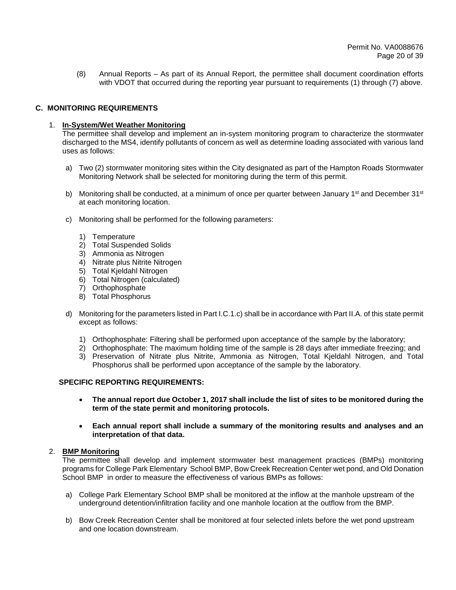(8) Annual Reports – As part of its Annual Report, the permittee shall document coordination efforts with VDOT that occurred during the reporting year pursuant to requirements (1) through (7) above.

# **C. MONITORING REQUIREMENTS**

## 1. **In-System/Wet Weather Monitoring**

The permittee shall develop and implement an in-system monitoring program to characterize the stormwater discharged to the MS4, identify pollutants of concern as well as determine loading associated with various land uses as follows:

- a) Two (2) stormwater monitoring sites within the City designated as part of the Hampton Roads Stormwater Monitoring Network shall be selected for monitoring during the term of this permit.
- b) Monitoring shall be conducted, at a minimum of once per quarter between January 1<sup>st</sup> and December  $31^{st}$ at each monitoring location.
- c) Monitoring shall be performed for the following parameters:
	- 1) Temperature
	- 2) Total Suspended Solids
	- 3) Ammonia as Nitrogen
	- 4) Nitrate plus Nitrite Nitrogen
	- 5) Total Kjeldahl Nitrogen
	- 6) Total Nitrogen (calculated)
	- 7) Orthophosphate
	- 8) Total Phosphorus
- d) Monitoring for the parameters listed in Part I.C.1.c) shall be in accordance with Part II.A. of this state permit except as follows:
	- 1) Orthophosphate: Filtering shall be performed upon acceptance of the sample by the laboratory;
	- 2) Orthophosphate: The maximum holding time of the sample is 28 days after immediate freezing; and
	- 3) Preservation of Nitrate plus Nitrite, Ammonia as Nitrogen, Total Kjeldahl Nitrogen, and Total Phosphorus shall be performed upon acceptance of the sample by the laboratory.

## **SPECIFIC REPORTING REQUIREMENTS:**

- **The annual report due October 1, 2017 shall include the list of sites to be monitored during the term of the state permit and monitoring protocols.**
- **Each annual report shall include a summary of the monitoring results and analyses and an interpretation of that data.**

## 2. **BMP Monitoring**

The permittee shall develop and implement stormwater best management practices (BMPs) monitoring programs for College Park Elementary School BMP, Bow Creek Recreation Center wet pond, and Old Donation School BMP in order to measure the effectiveness of various BMPs as follows:

- a) College Park Elementary School BMP shall be monitored at the inflow at the manhole upstream of the underground detention/infiltration facility and one manhole location at the outflow from the BMP.
- b) Bow Creek Recreation Center shall be monitored at four selected inlets before the wet pond upstream and one location downstream.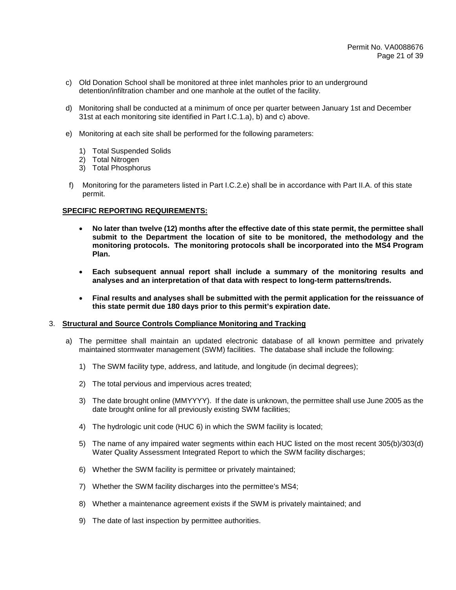- c) Old Donation School shall be monitored at three inlet manholes prior to an underground detention/infiltration chamber and one manhole at the outlet of the facility.
- d) Monitoring shall be conducted at a minimum of once per quarter between January 1st and December 31st at each monitoring site identified in Part I.C.1.a), b) and c) above.
- e) Monitoring at each site shall be performed for the following parameters:
	- 1) Total Suspended Solids
	- 2) Total Nitrogen
	- 3) Total Phosphorus
- f) Monitoring for the parameters listed in Part I.C.2.e) shall be in accordance with Part II.A. of this state permit.

- **No later than twelve (12) months after the effective date of this state permit, the permittee shall submit to the Department the location of site to be monitored, the methodology and the monitoring protocols. The monitoring protocols shall be incorporated into the MS4 Program Plan.**
- **Each subsequent annual report shall include a summary of the monitoring results and analyses and an interpretation of that data with respect to long-term patterns/trends.**
- **Final results and analyses shall be submitted with the permit application for the reissuance of this state permit due 180 days prior to this permit's expiration date.**

#### 3. **Structural and Source Controls Compliance Monitoring and Tracking**

- a) The permittee shall maintain an updated electronic database of all known permittee and privately maintained stormwater management (SWM) facilities. The database shall include the following:
	- 1) The SWM facility type, address, and latitude, and longitude (in decimal degrees);
	- 2) The total pervious and impervious acres treated;
	- 3) The date brought online (MMYYYY). If the date is unknown, the permittee shall use June 2005 as the date brought online for all previously existing SWM facilities;
	- 4) The hydrologic unit code (HUC 6) in which the SWM facility is located;
	- 5) The name of any impaired water segments within each HUC listed on the most recent 305(b)/303(d) Water Quality Assessment Integrated Report to which the SWM facility discharges;
	- 6) Whether the SWM facility is permittee or privately maintained;
	- 7) Whether the SWM facility discharges into the permittee's MS4;
	- 8) Whether a maintenance agreement exists if the SWM is privately maintained; and
	- 9) The date of last inspection by permittee authorities.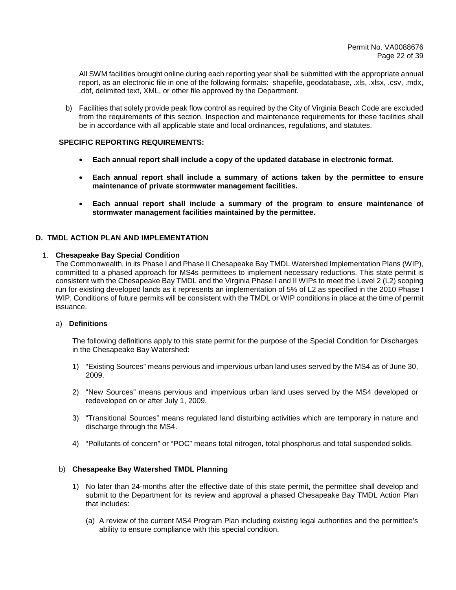All SWM facilities brought online during each reporting year shall be submitted with the appropriate annual report, as an electronic file in one of the following formats: shapefile, geodatabase, .xls, .xlsx, .csv, .mdx, .dbf, delimited text, XML, or other file approved by the Department.

b) Facilities that solely provide peak flow control as required by the City of Virginia Beach Code are excluded from the requirements of this section. Inspection and maintenance requirements for these facilities shall be in accordance with all applicable state and local ordinances, regulations, and statutes.

## **SPECIFIC REPORTING REQUIREMENTS:**

- **Each annual report shall include a copy of the updated database in electronic format.**
- **Each annual report shall include a summary of actions taken by the permittee to ensure maintenance of private stormwater management facilities.**
- **Each annual report shall include a summary of the program to ensure maintenance of stormwater management facilities maintained by the permittee.**

## **D. TMDL ACTION PLAN AND IMPLEMENTATION**

#### 1. **Chesapeake Bay Special Condition**

The Commonwealth, in its Phase I and Phase II Chesapeake Bay TMDL Watershed Implementation Plans (WIP), committed to a phased approach for MS4s permittees to implement necessary reductions. This state permit is consistent with the Chesapeake Bay TMDL and the Virginia Phase I and II WIPs to meet the Level 2 (L2) scoping run for existing developed lands as it represents an implementation of 5% of L2 as specified in the 2010 Phase I WIP. Conditions of future permits will be consistent with the TMDL or WIP conditions in place at the time of permit issuance.

#### a) **Definitions**

The following definitions apply to this state permit for the purpose of the Special Condition for Discharges in the Chesapeake Bay Watershed:

- 1) "Existing Sources" means pervious and impervious urban land uses served by the MS4 as of June 30, 2009.
- 2) "New Sources" means pervious and impervious urban land uses served by the MS4 developed or redeveloped on or after July 1, 2009.
- 3) "Transitional Sources" means regulated land disturbing activities which are temporary in nature and discharge through the MS4.
- 4) "Pollutants of concern" or "POC" means total nitrogen, total phosphorus and total suspended solids.

## b) **Chesapeake Bay Watershed TMDL Planning**

- 1) No later than 24-months after the effective date of this state permit, the permittee shall develop and submit to the Department for its review and approval a phased Chesapeake Bay TMDL Action Plan that includes:
	- (a) A review of the current MS4 Program Plan including existing legal authorities and the permittee's ability to ensure compliance with this special condition.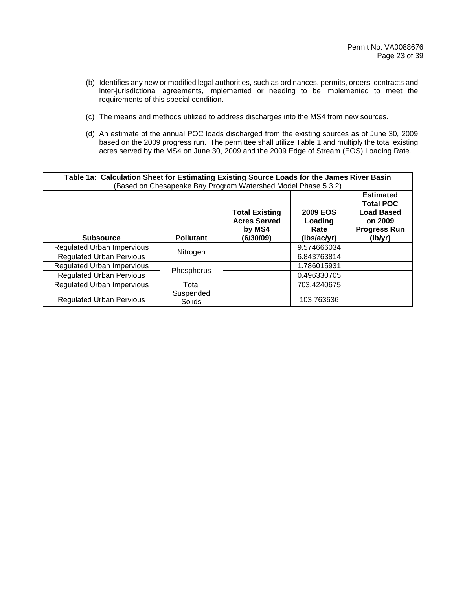- (b) Identifies any new or modified legal authorities, such as ordinances, permits, orders, contracts and inter-jurisdictional agreements, implemented or needing to be implemented to meet the requirements of this special condition.
- (c) The means and methods utilized to address discharges into the MS4 from new sources.
- (d) An estimate of the annual POC loads discharged from the existing sources as of June 30, 2009 based on the 2009 progress run. The permittee shall utilize Table 1 and multiply the total existing acres served by the MS4 on June 30, 2009 and the 2009 Edge of Stream (EOS) Loading Rate.

| Table 1a: Calculation Sheet for Estimating Existing Source Loads for the James River Basin<br>(Based on Chesapeake Bay Program Watershed Model Phase 5.3.2) |                    |                                                                     |                                                   |                                                                                                        |  |  |
|-------------------------------------------------------------------------------------------------------------------------------------------------------------|--------------------|---------------------------------------------------------------------|---------------------------------------------------|--------------------------------------------------------------------------------------------------------|--|--|
| <b>Subsource</b>                                                                                                                                            | <b>Pollutant</b>   | <b>Total Existing</b><br><b>Acres Served</b><br>by MS4<br>(6/30/09) | <b>2009 EOS</b><br>Loading<br>Rate<br>(lbs/ac/yr) | <b>Estimated</b><br><b>Total POC</b><br><b>Load Based</b><br>on 2009<br><b>Progress Run</b><br>(lb/yr) |  |  |
| <b>Regulated Urban Impervious</b>                                                                                                                           |                    |                                                                     | 9.574666034                                       |                                                                                                        |  |  |
| <b>Regulated Urban Pervious</b>                                                                                                                             | Nitrogen           |                                                                     | 6.843763814                                       |                                                                                                        |  |  |
| <b>Regulated Urban Impervious</b>                                                                                                                           | Phosphorus         |                                                                     | 1.786015931                                       |                                                                                                        |  |  |
| <b>Regulated Urban Pervious</b>                                                                                                                             |                    |                                                                     | 0.496330705                                       |                                                                                                        |  |  |
| <b>Regulated Urban Impervious</b>                                                                                                                           | Total<br>Suspended |                                                                     | 703.4240675                                       |                                                                                                        |  |  |
| <b>Regulated Urban Pervious</b>                                                                                                                             | Solids             |                                                                     | 103.763636                                        |                                                                                                        |  |  |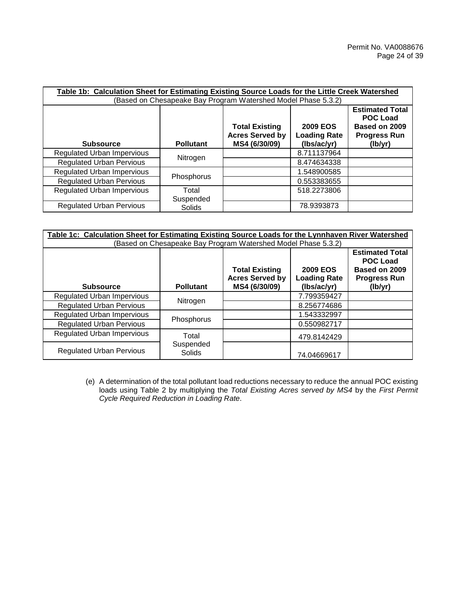| Table 1b: Calculation Sheet for Estimating Existing Source Loads for the Little Creek Watershed<br>(Based on Chesapeake Bay Program Watershed Model Phase 5.3.2) |                    |                                                                  |                                                       |                                                                                              |  |  |
|------------------------------------------------------------------------------------------------------------------------------------------------------------------|--------------------|------------------------------------------------------------------|-------------------------------------------------------|----------------------------------------------------------------------------------------------|--|--|
| <b>Subsource</b>                                                                                                                                                 | <b>Pollutant</b>   | <b>Total Existing</b><br><b>Acres Served by</b><br>MS4 (6/30/09) | <b>2009 EOS</b><br><b>Loading Rate</b><br>(Ibs/ac/yr) | <b>Estimated Total</b><br><b>POC Load</b><br>Based on 2009<br><b>Progress Run</b><br>(lb/yr) |  |  |
| <b>Regulated Urban Impervious</b>                                                                                                                                |                    |                                                                  | 8.711137964                                           |                                                                                              |  |  |
| <b>Regulated Urban Pervious</b>                                                                                                                                  | Nitrogen           |                                                                  | 8.474634338                                           |                                                                                              |  |  |
| <b>Regulated Urban Impervious</b>                                                                                                                                |                    |                                                                  | 1.548900585                                           |                                                                                              |  |  |
| <b>Regulated Urban Pervious</b>                                                                                                                                  | Phosphorus         |                                                                  | 0.553383655                                           |                                                                                              |  |  |
| <b>Regulated Urban Impervious</b>                                                                                                                                | Total<br>Suspended |                                                                  | 518.2273806                                           |                                                                                              |  |  |
| <b>Regulated Urban Pervious</b>                                                                                                                                  | Solids             |                                                                  | 78.9393873                                            |                                                                                              |  |  |

| Table 1c: Calculation Sheet for Estimating Existing Source Loads for the Lynnhaven River Watershed |                     |                                                                  |                                                       |                                                                                              |  |  |
|----------------------------------------------------------------------------------------------------|---------------------|------------------------------------------------------------------|-------------------------------------------------------|----------------------------------------------------------------------------------------------|--|--|
|                                                                                                    |                     | (Based on Chesapeake Bay Program Watershed Model Phase 5.3.2)    |                                                       |                                                                                              |  |  |
| <b>Subsource</b>                                                                                   | <b>Pollutant</b>    | <b>Total Existing</b><br><b>Acres Served by</b><br>MS4 (6/30/09) | <b>2009 EOS</b><br><b>Loading Rate</b><br>(lbs/ac/yr) | <b>Estimated Total</b><br><b>POC Load</b><br>Based on 2009<br><b>Progress Run</b><br>(lb/yr) |  |  |
| <b>Regulated Urban Impervious</b>                                                                  |                     |                                                                  | 7.799359427                                           |                                                                                              |  |  |
| <b>Regulated Urban Pervious</b>                                                                    | Nitrogen            |                                                                  | 8.256774686                                           |                                                                                              |  |  |
| <b>Regulated Urban Impervious</b>                                                                  |                     |                                                                  | 1.543332997                                           |                                                                                              |  |  |
| <b>Regulated Urban Pervious</b>                                                                    | Phosphorus          |                                                                  | 0.550982717                                           |                                                                                              |  |  |
| <b>Regulated Urban Impervious</b>                                                                  | Total               |                                                                  | 479.8142429                                           |                                                                                              |  |  |
| <b>Regulated Urban Pervious</b>                                                                    | Suspended<br>Solids |                                                                  | 74.04669617                                           |                                                                                              |  |  |

(e) A determination of the total pollutant load reductions necessary to reduce the annual POC existing loads using Table 2 by multiplying the *Total Existing Acres served by MS4* by the *First Permit Cycle Required Reduction in Loading Rate*.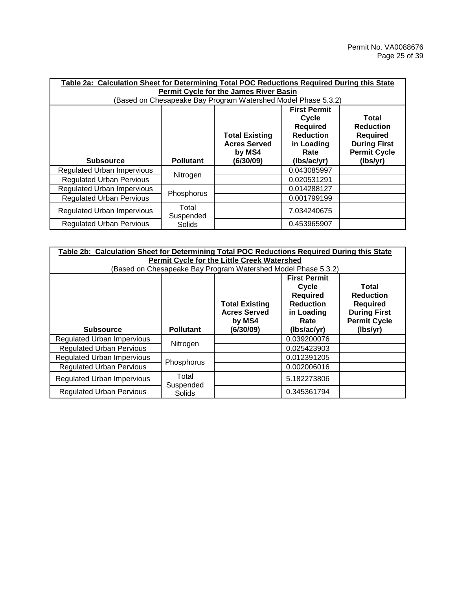| Table 2a: Calculation Sheet for Determining Total POC Reductions Required During this State<br><b>Permit Cycle for the James River Basin</b>                                                                                                      |                    |                                                               |             |          |  |  |
|---------------------------------------------------------------------------------------------------------------------------------------------------------------------------------------------------------------------------------------------------|--------------------|---------------------------------------------------------------|-------------|----------|--|--|
|                                                                                                                                                                                                                                                   |                    | (Based on Chesapeake Bay Program Watershed Model Phase 5.3.2) |             |          |  |  |
| <b>First Permit</b><br>Cycle<br>Total<br><b>Required</b><br><b>Reduction</b><br><b>Reduction</b><br><b>Total Existing</b><br><b>Required</b><br><b>Acres Served</b><br><b>During First</b><br>in Loading<br><b>Permit Cycle</b><br>by MS4<br>Rate |                    |                                                               |             |          |  |  |
| <b>Subsource</b>                                                                                                                                                                                                                                  | <b>Pollutant</b>   | (6/30/09)                                                     | (lbs/ac/yr) | (lbs/yr) |  |  |
| <b>Regulated Urban Impervious</b>                                                                                                                                                                                                                 | Nitrogen           |                                                               | 0.043085997 |          |  |  |
| <b>Regulated Urban Pervious</b>                                                                                                                                                                                                                   |                    |                                                               | 0.020531291 |          |  |  |
| <b>Regulated Urban Impervious</b>                                                                                                                                                                                                                 |                    |                                                               | 0.014288127 |          |  |  |
| <b>Regulated Urban Pervious</b>                                                                                                                                                                                                                   | Phosphorus         |                                                               | 0.001799199 |          |  |  |
| Regulated Urban Impervious                                                                                                                                                                                                                        | Total<br>Suspended |                                                               | 7.034240675 |          |  |  |
| <b>Regulated Urban Pervious</b>                                                                                                                                                                                                                   | <b>Solids</b>      |                                                               | 0.453965907 |          |  |  |

| Table 2b: Calculation Sheet for Determining Total POC Reductions Required During this State<br>Permit Cycle for the Little Creek Watershed                                                                                                        |                    |                                                               |             |          |  |  |
|---------------------------------------------------------------------------------------------------------------------------------------------------------------------------------------------------------------------------------------------------|--------------------|---------------------------------------------------------------|-------------|----------|--|--|
|                                                                                                                                                                                                                                                   |                    | (Based on Chesapeake Bay Program Watershed Model Phase 5.3.2) |             |          |  |  |
| <b>First Permit</b><br>Total<br>Cycle<br><b>Required</b><br><b>Reduction</b><br><b>Reduction</b><br><b>Total Existing</b><br><b>Required</b><br><b>Acres Served</b><br><b>During First</b><br>in Loading<br><b>Permit Cycle</b><br>by MS4<br>Rate |                    |                                                               |             |          |  |  |
| <b>Subsource</b>                                                                                                                                                                                                                                  | <b>Pollutant</b>   | (6/30/09)                                                     | (lbs/ac/yr) | (lbs/yr) |  |  |
| <b>Regulated Urban Impervious</b>                                                                                                                                                                                                                 | Nitrogen           |                                                               | 0.039200076 |          |  |  |
| <b>Regulated Urban Pervious</b>                                                                                                                                                                                                                   |                    |                                                               | 0.025423903 |          |  |  |
| <b>Regulated Urban Impervious</b>                                                                                                                                                                                                                 |                    |                                                               | 0.012391205 |          |  |  |
| <b>Regulated Urban Pervious</b>                                                                                                                                                                                                                   | Phosphorus         |                                                               | 0.002006016 |          |  |  |
| Regulated Urban Impervious                                                                                                                                                                                                                        | Total<br>Suspended |                                                               | 5.182273806 |          |  |  |
| <b>Regulated Urban Pervious</b>                                                                                                                                                                                                                   | Solids             |                                                               | 0.345361794 |          |  |  |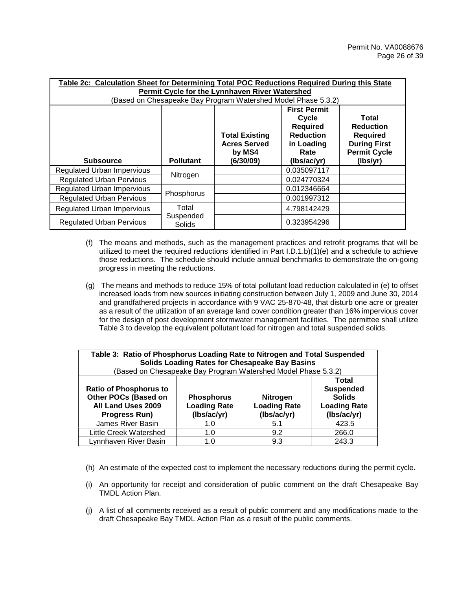| Table 2c: Calculation Sheet for Determining Total POC Reductions Required During this State<br>Permit Cycle for the Lynnhaven River Watershed                                                                                                     |                     |                                                               |             |          |  |  |  |
|---------------------------------------------------------------------------------------------------------------------------------------------------------------------------------------------------------------------------------------------------|---------------------|---------------------------------------------------------------|-------------|----------|--|--|--|
|                                                                                                                                                                                                                                                   |                     | (Based on Chesapeake Bay Program Watershed Model Phase 5.3.2) |             |          |  |  |  |
| <b>First Permit</b><br>Cycle<br>Total<br><b>Required</b><br><b>Reduction</b><br><b>Reduction</b><br><b>Total Existing</b><br><b>Required</b><br><b>During First</b><br><b>Acres Served</b><br>in Loading<br><b>Permit Cycle</b><br>by MS4<br>Rate |                     |                                                               |             |          |  |  |  |
| <b>Subsource</b>                                                                                                                                                                                                                                  | <b>Pollutant</b>    | (6/30/09)                                                     | (lbs/ac/yr) | (lbs/yr) |  |  |  |
| <b>Regulated Urban Impervious</b>                                                                                                                                                                                                                 | Nitrogen            |                                                               | 0.035097117 |          |  |  |  |
| <b>Regulated Urban Pervious</b>                                                                                                                                                                                                                   |                     |                                                               | 0.024770324 |          |  |  |  |
| <b>Regulated Urban Impervious</b>                                                                                                                                                                                                                 | Phosphorus          |                                                               | 0.012346664 |          |  |  |  |
| <b>Regulated Urban Pervious</b>                                                                                                                                                                                                                   |                     |                                                               | 0.001997312 |          |  |  |  |
| <b>Regulated Urban Impervious</b>                                                                                                                                                                                                                 | Total               |                                                               | 4.798142429 |          |  |  |  |
| <b>Regulated Urban Pervious</b>                                                                                                                                                                                                                   | Suspended<br>Solids |                                                               | 0.323954296 |          |  |  |  |

- (f) The means and methods, such as the management practices and retrofit programs that will be utilized to meet the required reductions identified in Part I.D.1.b)(1)(e) and a schedule to achieve those reductions. The schedule should include annual benchmarks to demonstrate the on-going progress in meeting the reductions.
- (g) The means and methods to reduce 15% of total pollutant load reduction calculated in (e) to offset increased loads from new sources initiating construction between July 1, 2009 and June 30, 2014 and grandfathered projects in accordance with 9 VAC 25-870-48, that disturb one acre or greater as a result of the utilization of an average land cover condition greater than 16% impervious cover for the design of post development stormwater management facilities. The permittee shall utilize Table 3 to develop the equivalent pollutant load for nitrogen and total suspended solids.

| Table 3: Ratio of Phosphorus Loading Rate to Nitrogen and Total Suspended<br><b>Solids Loading Rates for Chesapeake Bay Basins</b><br>(Based on Chesapeake Bay Program Watershed Model Phase 5.3.2)                                                                                                                |                     |     |       |  |  |  |  |  |  |
|--------------------------------------------------------------------------------------------------------------------------------------------------------------------------------------------------------------------------------------------------------------------------------------------------------------------|---------------------|-----|-------|--|--|--|--|--|--|
| Total<br><b>Suspended</b><br><b>Ratio of Phosphorus to</b><br><b>Other POCs (Based on</b><br><b>Solids</b><br><b>Phosphorus</b><br><b>Nitrogen</b><br>All Land Uses 2009<br><b>Loading Rate</b><br><b>Loading Rate</b><br><b>Loading Rate</b><br>(lbs/ac/yr)<br>(Ibs/ac/yr)<br>(Ibs/ac/yr)<br><b>Progress Run)</b> |                     |     |       |  |  |  |  |  |  |
| James River Basin                                                                                                                                                                                                                                                                                                  | 1.0                 | 5.1 | 423.5 |  |  |  |  |  |  |
| <b>Little Creek Watershed</b>                                                                                                                                                                                                                                                                                      | 266.0<br>9.2<br>1.0 |     |       |  |  |  |  |  |  |
| Lynnhaven River Basin                                                                                                                                                                                                                                                                                              | 1. $\Omega$         | 9.3 | 243.3 |  |  |  |  |  |  |

- (h) An estimate of the expected cost to implement the necessary reductions during the permit cycle.
- (i) An opportunity for receipt and consideration of public comment on the draft Chesapeake Bay TMDL Action Plan.
- (j) A list of all comments received as a result of public comment and any modifications made to the draft Chesapeake Bay TMDL Action Plan as a result of the public comments.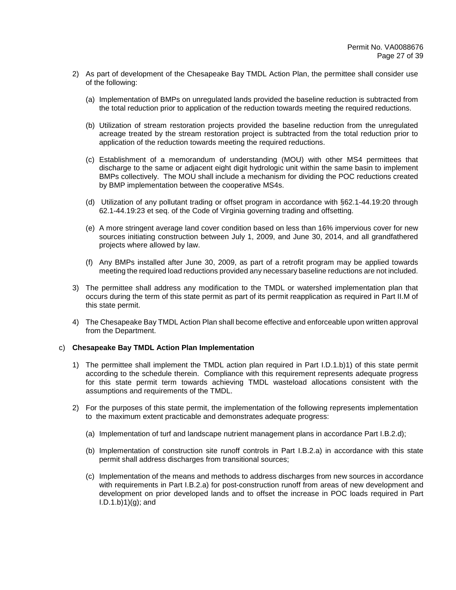- 2) As part of development of the Chesapeake Bay TMDL Action Plan, the permittee shall consider use of the following:
	- (a) Implementation of BMPs on unregulated lands provided the baseline reduction is subtracted from the total reduction prior to application of the reduction towards meeting the required reductions.
	- (b) Utilization of stream restoration projects provided the baseline reduction from the unregulated acreage treated by the stream restoration project is subtracted from the total reduction prior to application of the reduction towards meeting the required reductions.
	- (c) Establishment of a memorandum of understanding (MOU) with other MS4 permittees that discharge to the same or adjacent eight digit hydrologic unit within the same basin to implement BMPs collectively. The MOU shall include a mechanism for dividing the POC reductions created by BMP implementation between the cooperative MS4s.
	- (d) Utilization of any pollutant trading or offset program in accordance with §62.1-44.19:20 through 62.1-44.19:23 et seq. of the Code of Virginia governing trading and offsetting.
	- (e) A more stringent average land cover condition based on less than 16% impervious cover for new sources initiating construction between July 1, 2009, and June 30, 2014, and all grandfathered projects where allowed by law.
	- (f) Any BMPs installed after June 30, 2009, as part of a retrofit program may be applied towards meeting the required load reductions provided any necessary baseline reductions are not included.
- 3) The permittee shall address any modification to the TMDL or watershed implementation plan that occurs during the term of this state permit as part of its permit reapplication as required in Part II.M of this state permit.
- 4) The Chesapeake Bay TMDL Action Plan shall become effective and enforceable upon written approval from the Department.

## c) **Chesapeake Bay TMDL Action Plan Implementation**

- 1) The permittee shall implement the TMDL action plan required in Part I.D.1.b)1) of this state permit according to the schedule therein. Compliance with this requirement represents adequate progress for this state permit term towards achieving TMDL wasteload allocations consistent with the assumptions and requirements of the TMDL.
- 2) For the purposes of this state permit, the implementation of the following represents implementation to the maximum extent practicable and demonstrates adequate progress:
	- (a) Implementation of turf and landscape nutrient management plans in accordance Part I.B.2.d);
	- (b) Implementation of construction site runoff controls in Part I.B.2.a) in accordance with this state permit shall address discharges from transitional sources;
	- (c) Implementation of the means and methods to address discharges from new sources in accordance with requirements in Part I.B.2.a) for post-construction runoff from areas of new development and development on prior developed lands and to offset the increase in POC loads required in Part  $I.D.1.b)1)(g); and$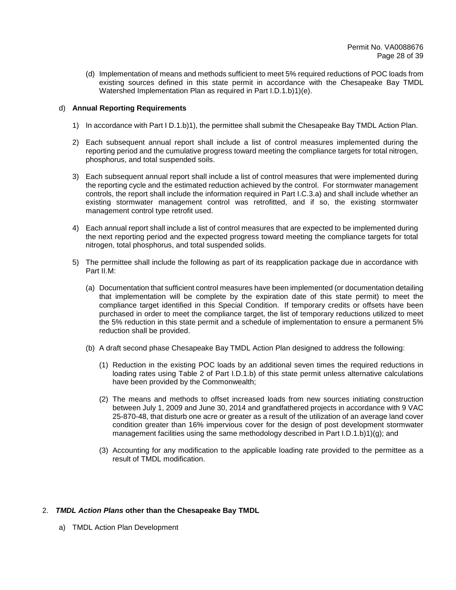(d) Implementation of means and methods sufficient to meet 5% required reductions of POC loads from existing sources defined in this state permit in accordance with the Chesapeake Bay TMDL Watershed Implementation Plan as required in Part I.D.1.b)1)(e).

## d) **Annual Reporting Requirements**

- 1) In accordance with Part I D.1.b)1), the permittee shall submit the Chesapeake Bay TMDL Action Plan.
- 2) Each subsequent annual report shall include a list of control measures implemented during the reporting period and the cumulative progress toward meeting the compliance targets for total nitrogen, phosphorus, and total suspended soils.
- 3) Each subsequent annual report shall include a list of control measures that were implemented during the reporting cycle and the estimated reduction achieved by the control. For stormwater management controls, the report shall include the information required in Part I.C.3.a) and shall include whether an existing stormwater management control was retrofitted, and if so, the existing stormwater management control type retrofit used.
- 4) Each annual report shall include a list of control measures that are expected to be implemented during the next reporting period and the expected progress toward meeting the compliance targets for total nitrogen, total phosphorus, and total suspended solids.
- 5) The permittee shall include the following as part of its reapplication package due in accordance with Part II.M:
	- (a) Documentation that sufficient control measures have been implemented (or documentation detailing that implementation will be complete by the expiration date of this state permit) to meet the compliance target identified in this Special Condition. If temporary credits or offsets have been purchased in order to meet the compliance target, the list of temporary reductions utilized to meet the 5% reduction in this state permit and a schedule of implementation to ensure a permanent 5% reduction shall be provided.
	- (b) A draft second phase Chesapeake Bay TMDL Action Plan designed to address the following:
		- (1) Reduction in the existing POC loads by an additional seven times the required reductions in loading rates using Table 2 of Part I.D.1.b) of this state permit unless alternative calculations have been provided by the Commonwealth;
		- (2) The means and methods to offset increased loads from new sources initiating construction between July 1, 2009 and June 30, 2014 and grandfathered projects in accordance with 9 VAC 25-870-48, that disturb one acre or greater as a result of the utilization of an average land cover condition greater than 16% impervious cover for the design of post development stormwater management facilities using the same methodology described in Part I.D.1.b)1)(g); and
		- (3) Accounting for any modification to the applicable loading rate provided to the permittee as a result of TMDL modification.

## 2. *TMDL Action Plans* **other than the Chesapeake Bay TMDL**

a) TMDL Action Plan Development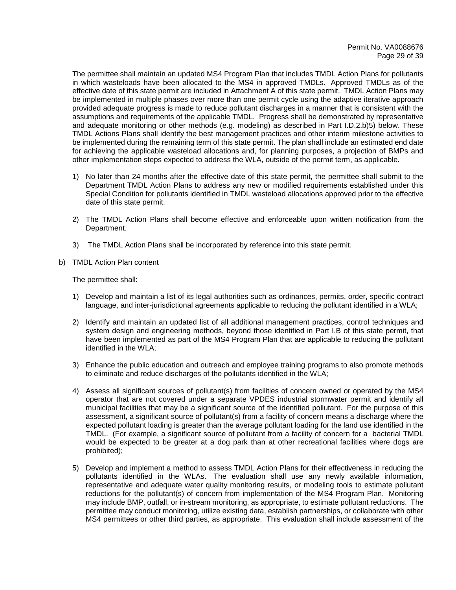The permittee shall maintain an updated MS4 Program Plan that includes TMDL Action Plans for pollutants in which wasteloads have been allocated to the MS4 in approved TMDLs. Approved TMDLs as of the effective date of this state permit are included in Attachment A of this state permit. TMDL Action Plans may be implemented in multiple phases over more than one permit cycle using the adaptive iterative approach provided adequate progress is made to reduce pollutant discharges in a manner that is consistent with the assumptions and requirements of the applicable TMDL. Progress shall be demonstrated by representative and adequate monitoring or other methods (e.g. modeling) as described in Part I.D.2.b)5) below. These TMDL Actions Plans shall identify the best management practices and other interim milestone activities to be implemented during the remaining term of this state permit. The plan shall include an estimated end date for achieving the applicable wasteload allocations and, for planning purposes, a projection of BMPs and other implementation steps expected to address the WLA, outside of the permit term, as applicable.

- 1) No later than 24 months after the effective date of this state permit, the permittee shall submit to the Department TMDL Action Plans to address any new or modified requirements established under this Special Condition for pollutants identified in TMDL wasteload allocations approved prior to the effective date of this state permit.
- 2) The TMDL Action Plans shall become effective and enforceable upon written notification from the Department.
- 3) The TMDL Action Plans shall be incorporated by reference into this state permit.
- b) TMDL Action Plan content

The permittee shall:

- 1) Develop and maintain a list of its legal authorities such as ordinances, permits, order, specific contract language, and inter-jurisdictional agreements applicable to reducing the pollutant identified in a WLA;
- 2) Identify and maintain an updated list of all additional management practices, control techniques and system design and engineering methods, beyond those identified in Part I.B of this state permit, that have been implemented as part of the MS4 Program Plan that are applicable to reducing the pollutant identified in the WLA;
- 3) Enhance the public education and outreach and employee training programs to also promote methods to eliminate and reduce discharges of the pollutants identified in the WLA;
- 4) Assess all significant sources of pollutant(s) from facilities of concern owned or operated by the MS4 operator that are not covered under a separate VPDES industrial stormwater permit and identify all municipal facilities that may be a significant source of the identified pollutant. For the purpose of this assessment, a significant source of pollutant(s) from a facility of concern means a discharge where the expected pollutant loading is greater than the average pollutant loading for the land use identified in the TMDL. (For example, a significant source of pollutant from a facility of concern for a bacterial TMDL would be expected to be greater at a dog park than at other recreational facilities where dogs are prohibited);
- 5) Develop and implement a method to assess TMDL Action Plans for their effectiveness in reducing the pollutants identified in the WLAs. The evaluation shall use any newly available information, representative and adequate water quality monitoring results, or modeling tools to estimate pollutant reductions for the pollutant(s) of concern from implementation of the MS4 Program Plan. Monitoring may include BMP, outfall, or in-stream monitoring, as appropriate, to estimate pollutant reductions. The permittee may conduct monitoring, utilize existing data, establish partnerships, or collaborate with other MS4 permittees or other third parties, as appropriate. This evaluation shall include assessment of the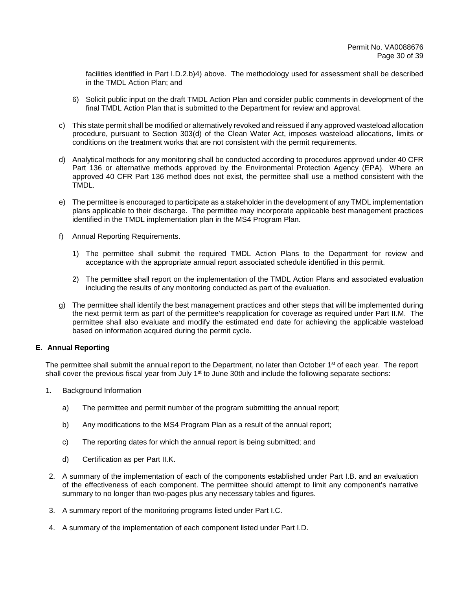facilities identified in Part I.D.2.b)4) above. The methodology used for assessment shall be described in the TMDL Action Plan; and

- 6) Solicit public input on the draft TMDL Action Plan and consider public comments in development of the final TMDL Action Plan that is submitted to the Department for review and approval.
- c) This state permit shall be modified or alternatively revoked and reissued if any approved wasteload allocation procedure, pursuant to Section 303(d) of the Clean Water Act, imposes wasteload allocations, limits or conditions on the treatment works that are not consistent with the permit requirements.
- d) Analytical methods for any monitoring shall be conducted according to procedures approved under 40 CFR Part 136 or alternative methods approved by the Environmental Protection Agency (EPA). Where an approved 40 CFR Part 136 method does not exist, the permittee shall use a method consistent with the TMDL.
- e) The permittee is encouraged to participate as a stakeholder in the development of any TMDL implementation plans applicable to their discharge. The permittee may incorporate applicable best management practices identified in the TMDL implementation plan in the MS4 Program Plan.
- f) Annual Reporting Requirements.
	- 1) The permittee shall submit the required TMDL Action Plans to the Department for review and acceptance with the appropriate annual report associated schedule identified in this permit.
	- 2) The permittee shall report on the implementation of the TMDL Action Plans and associated evaluation including the results of any monitoring conducted as part of the evaluation.
- g) The permittee shall identify the best management practices and other steps that will be implemented during the next permit term as part of the permittee's reapplication for coverage as required under Part II.M. The permittee shall also evaluate and modify the estimated end date for achieving the applicable wasteload based on information acquired during the permit cycle.

## **E. Annual Reporting**

The permittee shall submit the annual report to the Department, no later than October 1<sup>st</sup> of each year. The report shall cover the previous fiscal year from July  $1<sup>st</sup>$  to June 30th and include the following separate sections:

- 1. Background Information
	- a) The permittee and permit number of the program submitting the annual report;
	- b) Any modifications to the MS4 Program Plan as a result of the annual report;
	- c) The reporting dates for which the annual report is being submitted; and
	- d) Certification as per Part II.K.
- 2. A summary of the implementation of each of the components established under Part I.B. and an evaluation of the effectiveness of each component. The permittee should attempt to limit any component's narrative summary to no longer than two-pages plus any necessary tables and figures.
- 3. A summary report of the monitoring programs listed under Part I.C.
- 4. A summary of the implementation of each component listed under Part I.D.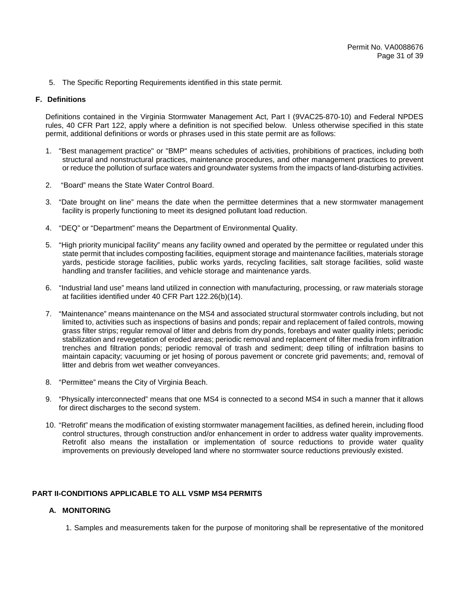5. The Specific Reporting Requirements identified in this state permit.

## **F. Definitions**

Definitions contained in the Virginia Stormwater Management Act, Part I (9VAC25-870-10) and Federal NPDES rules, 40 CFR Part 122, apply where a definition is not specified below. Unless otherwise specified in this state permit, additional definitions or words or phrases used in this state permit are as follows:

- 1. "Best management practice" or "BMP" means schedules of activities, prohibitions of practices, including both structural and nonstructural practices, maintenance procedures, and other management practices to prevent or reduce the pollution of surface waters and groundwater systems from the impacts of land-disturbing activities.
- 2. "Board" means the State Water Control Board.
- 3. "Date brought on line" means the date when the permittee determines that a new stormwater management facility is properly functioning to meet its designed pollutant load reduction.
- 4. "DEQ" or "Department" means the Department of Environmental Quality.
- 5. "High priority municipal facility" means any facility owned and operated by the permittee or regulated under this state permit that includes composting facilities, equipment storage and maintenance facilities, materials storage yards, pesticide storage facilities, public works yards, recycling facilities, salt storage facilities, solid waste handling and transfer facilities, and vehicle storage and maintenance yards.
- 6. "Industrial land use" means land utilized in connection with manufacturing, processing, or raw materials storage at facilities identified under 40 CFR Part 122.26(b)(14).
- 7. "Maintenance" means maintenance on the MS4 and associated structural stormwater controls including, but not limited to, activities such as inspections of basins and ponds; repair and replacement of failed controls, mowing grass filter strips; regular removal of litter and debris from dry ponds, forebays and water quality inlets; periodic stabilization and revegetation of eroded areas; periodic removal and replacement of filter media from infiltration trenches and filtration ponds; periodic removal of trash and sediment; deep tilling of infiltration basins to maintain capacity; vacuuming or jet hosing of porous pavement or concrete grid pavements; and, removal of litter and debris from wet weather conveyances.
- 8. "Permittee" means the City of Virginia Beach.
- 9. "Physically interconnected" means that one MS4 is connected to a second MS4 in such a manner that it allows for direct discharges to the second system.
- 10. "Retrofit" means the modification of existing stormwater management facilities, as defined herein, including flood control structures, through construction and/or enhancement in order to address water quality improvements. Retrofit also means the installation or implementation of source reductions to provide water quality improvements on previously developed land where no stormwater source reductions previously existed.

# **PART II-CONDITIONS APPLICABLE TO ALL VSMP MS4 PERMITS**

# **A. MONITORING**

1. Samples and measurements taken for the purpose of monitoring shall be representative of the monitored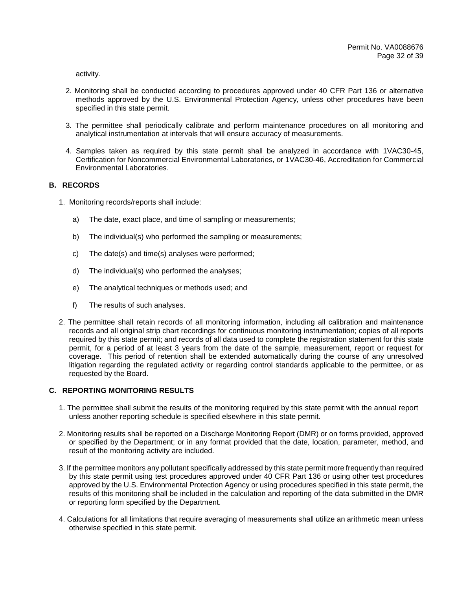activity.

- 2. Monitoring shall be conducted according to procedures approved under 40 CFR Part 136 or alternative methods approved by the U.S. Environmental Protection Agency, unless other procedures have been specified in this state permit.
- 3. The permittee shall periodically calibrate and perform maintenance procedures on all monitoring and analytical instrumentation at intervals that will ensure accuracy of measurements.
- 4. Samples taken as required by this state permit shall be analyzed in accordance with 1VAC30-45, Certification for Noncommercial Environmental Laboratories, or 1VAC30-46, Accreditation for Commercial Environmental Laboratories.

## **B. RECORDS**

- 1. Monitoring records/reports shall include:
	- a) The date, exact place, and time of sampling or measurements;
	- b) The individual(s) who performed the sampling or measurements;
	- c) The date(s) and time(s) analyses were performed;
	- d) The individual(s) who performed the analyses;
	- e) The analytical techniques or methods used; and
	- f) The results of such analyses.
- 2. The permittee shall retain records of all monitoring information, including all calibration and maintenance records and all original strip chart recordings for continuous monitoring instrumentation; copies of all reports required by this state permit; and records of all data used to complete the registration statement for this state permit, for a period of at least 3 years from the date of the sample, measurement, report or request for coverage. This period of retention shall be extended automatically during the course of any unresolved litigation regarding the regulated activity or regarding control standards applicable to the permittee, or as requested by the Board.

## **C. REPORTING MONITORING RESULTS**

- 1. The permittee shall submit the results of the monitoring required by this state permit with the annual report unless another reporting schedule is specified elsewhere in this state permit.
- 2. Monitoring results shall be reported on a Discharge Monitoring Report (DMR) or on forms provided, approved or specified by the Department; or in any format provided that the date, location, parameter, method, and result of the monitoring activity are included.
- 3. If the permittee monitors any pollutant specifically addressed by this state permit more frequently than required by this state permit using test procedures approved under 40 CFR Part 136 or using other test procedures approved by the U.S. Environmental Protection Agency or using procedures specified in this state permit, the results of this monitoring shall be included in the calculation and reporting of the data submitted in the DMR or reporting form specified by the Department.
- 4. Calculations for all limitations that require averaging of measurements shall utilize an arithmetic mean unless otherwise specified in this state permit.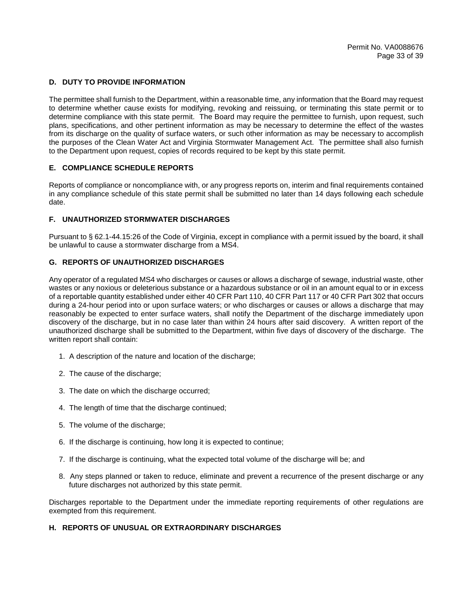## **D. DUTY TO PROVIDE INFORMATION**

The permittee shall furnish to the Department, within a reasonable time, any information that the Board may request to determine whether cause exists for modifying, revoking and reissuing, or terminating this state permit or to determine compliance with this state permit. The Board may require the permittee to furnish, upon request, such plans, specifications, and other pertinent information as may be necessary to determine the effect of the wastes from its discharge on the quality of surface waters, or such other information as may be necessary to accomplish the purposes of the Clean Water Act and Virginia Stormwater Management Act. The permittee shall also furnish to the Department upon request, copies of records required to be kept by this state permit.

## **E. COMPLIANCE SCHEDULE REPORTS**

Reports of compliance or noncompliance with, or any progress reports on, interim and final requirements contained in any compliance schedule of this state permit shall be submitted no later than 14 days following each schedule date.

## **F. UNAUTHORIZED STORMWATER DISCHARGES**

Pursuant to § 62.1-44.15:26 of the Code of Virginia, except in compliance with a permit issued by the board, it shall be unlawful to cause a stormwater discharge from a MS4.

## **G. REPORTS OF UNAUTHORIZED DISCHARGES**

Any operator of a regulated MS4 who discharges or causes or allows a discharge of sewage, industrial waste, other wastes or any noxious or deleterious substance or a hazardous substance or oil in an amount equal to or in excess of a reportable quantity established under either 40 CFR Part 110, 40 CFR Part 117 or 40 CFR Part 302 that occurs during a 24-hour period into or upon surface waters; or who discharges or causes or allows a discharge that may reasonably be expected to enter surface waters, shall notify the Department of the discharge immediately upon discovery of the discharge, but in no case later than within 24 hours after said discovery. A written report of the unauthorized discharge shall be submitted to the Department, within five days of discovery of the discharge. The written report shall contain:

- 1. A description of the nature and location of the discharge;
- 2. The cause of the discharge;
- 3. The date on which the discharge occurred;
- 4. The length of time that the discharge continued;
- 5. The volume of the discharge;
- 6. If the discharge is continuing, how long it is expected to continue;
- 7. If the discharge is continuing, what the expected total volume of the discharge will be; and
- 8. Any steps planned or taken to reduce, eliminate and prevent a recurrence of the present discharge or any future discharges not authorized by this state permit.

Discharges reportable to the Department under the immediate reporting requirements of other regulations are exempted from this requirement.

## **H. REPORTS OF UNUSUAL OR EXTRAORDINARY DISCHARGES**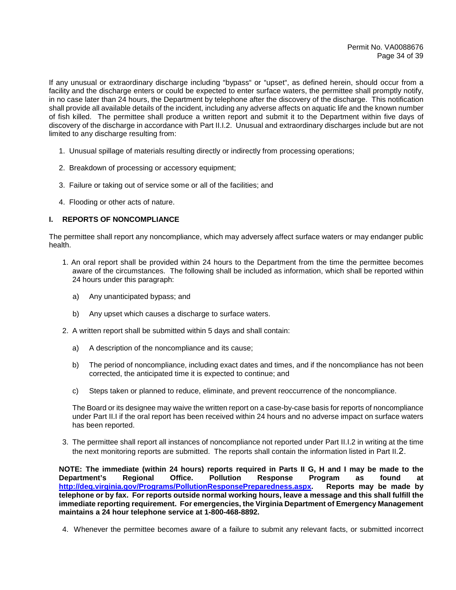If any unusual or extraordinary discharge including "bypass" or "upset", as defined herein, should occur from a facility and the discharge enters or could be expected to enter surface waters, the permittee shall promptly notify, in no case later than 24 hours, the Department by telephone after the discovery of the discharge. This notification shall provide all available details of the incident, including any adverse affects on aquatic life and the known number of fish killed. The permittee shall produce a written report and submit it to the Department within five days of discovery of the discharge in accordance with Part II.I.2. Unusual and extraordinary discharges include but are not limited to any discharge resulting from:

- 1. Unusual spillage of materials resulting directly or indirectly from processing operations;
- 2. Breakdown of processing or accessory equipment;
- 3. Failure or taking out of service some or all of the facilities; and
- 4. Flooding or other acts of nature.

## **I. REPORTS OF NONCOMPLIANCE**

The permittee shall report any noncompliance, which may adversely affect surface waters or may endanger public health.

- 1. An oral report shall be provided within 24 hours to the Department from the time the permittee becomes aware of the circumstances. The following shall be included as information, which shall be reported within 24 hours under this paragraph:
	- a) Any unanticipated bypass; and
	- b) Any upset which causes a discharge to surface waters.
- 2. A written report shall be submitted within 5 days and shall contain:
	- a) A description of the noncompliance and its cause;
	- b) The period of noncompliance, including exact dates and times, and if the noncompliance has not been corrected, the anticipated time it is expected to continue; and
	- c) Steps taken or planned to reduce, eliminate, and prevent reoccurrence of the noncompliance.

The Board or its designee may waive the written report on a case-by-case basis for reports of noncompliance under Part II.I if the oral report has been received within 24 hours and no adverse impact on surface waters has been reported.

3. The permittee shall report all instances of noncompliance not reported under Part II.I.2 in writing at the time the next monitoring reports are submitted. The reports shall contain the information listed in Part II.2.

**NOTE: The immediate (within 24 hours) reports required in Parts II G, H and I may be made to the Department's Regional Office. Pollution Response Program as found at http://deq.virginia.gov/Programs/PollutionResponsePreparedness.aspx. Reports may be made by telephone or by fax. For reports outside normal working hours, leave a message and this shall fulfill the immediate reporting requirement. For emergencies, the Virginia Department of Emergency Management maintains a 24 hour telephone service at 1-800-468-8892.**

4. Whenever the permittee becomes aware of a failure to submit any relevant facts, or submitted incorrect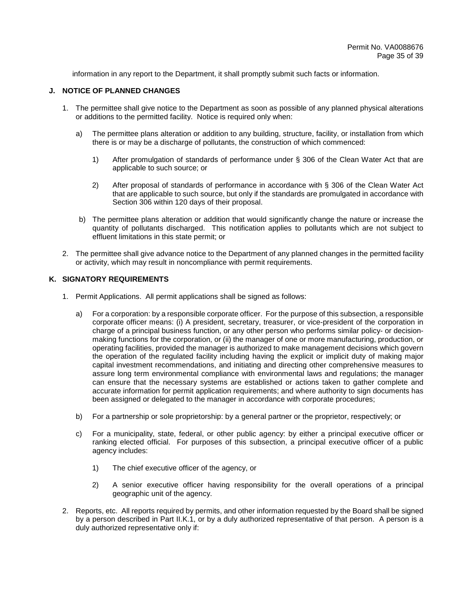information in any report to the Department, it shall promptly submit such facts or information.

## **J. NOTICE OF PLANNED CHANGES**

- 1. The permittee shall give notice to the Department as soon as possible of any planned physical alterations or additions to the permitted facility. Notice is required only when:
	- a) The permittee plans alteration or addition to any building, structure, facility, or installation from which there is or may be a discharge of pollutants, the construction of which commenced:
		- 1) After promulgation of standards of performance under § 306 of the Clean Water Act that are applicable to such source; or
		- 2) After proposal of standards of performance in accordance with § 306 of the Clean Water Act that are applicable to such source, but only if the standards are promulgated in accordance with Section 306 within 120 days of their proposal.
	- b) The permittee plans alteration or addition that would significantly change the nature or increase the quantity of pollutants discharged. This notification applies to pollutants which are not subject to effluent limitations in this state permit; or
- 2. The permittee shall give advance notice to the Department of any planned changes in the permitted facility or activity, which may result in noncompliance with permit requirements.

#### **K. SIGNATORY REQUIREMENTS**

- 1. Permit Applications. All permit applications shall be signed as follows:
	- a) For a corporation: by a responsible corporate officer. For the purpose of this subsection, a responsible corporate officer means: (i) A president, secretary, treasurer, or vice-president of the corporation in charge of a principal business function, or any other person who performs similar policy- or decisionmaking functions for the corporation, or (ii) the manager of one or more manufacturing, production, or operating facilities, provided the manager is authorized to make management decisions which govern the operation of the regulated facility including having the explicit or implicit duty of making major capital investment recommendations, and initiating and directing other comprehensive measures to assure long term environmental compliance with environmental laws and regulations; the manager can ensure that the necessary systems are established or actions taken to gather complete and accurate information for permit application requirements; and where authority to sign documents has been assigned or delegated to the manager in accordance with corporate procedures;
	- b) For a partnership or sole proprietorship: by a general partner or the proprietor, respectively; or
	- c) For a municipality, state, federal, or other public agency: by either a principal executive officer or ranking elected official. For purposes of this subsection, a principal executive officer of a public agency includes:
		- 1) The chief executive officer of the agency, or
		- 2) A senior executive officer having responsibility for the overall operations of a principal geographic unit of the agency.
- 2. Reports, etc. All reports required by permits, and other information requested by the Board shall be signed by a person described in Part II.K.1, or by a duly authorized representative of that person. A person is a duly authorized representative only if: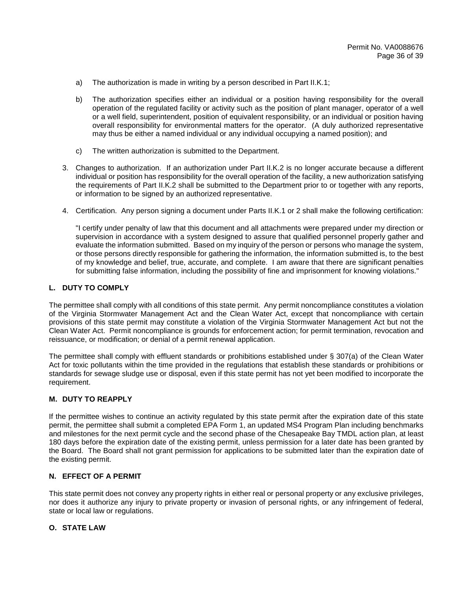- a) The authorization is made in writing by a person described in Part II.K.1;
- b) The authorization specifies either an individual or a position having responsibility for the overall operation of the regulated facility or activity such as the position of plant manager, operator of a well or a well field, superintendent, position of equivalent responsibility, or an individual or position having overall responsibility for environmental matters for the operator. (A duly authorized representative may thus be either a named individual or any individual occupying a named position); and
- c) The written authorization is submitted to the Department.
- 3. Changes to authorization. If an authorization under Part II.K.2 is no longer accurate because a different individual or position has responsibility for the overall operation of the facility, a new authorization satisfying the requirements of Part II.K.2 shall be submitted to the Department prior to or together with any reports, or information to be signed by an authorized representative.
- 4. Certification. Any person signing a document under Parts II.K.1 or 2 shall make the following certification:

"I certify under penalty of law that this document and all attachments were prepared under my direction or supervision in accordance with a system designed to assure that qualified personnel properly gather and evaluate the information submitted. Based on my inquiry of the person or persons who manage the system, or those persons directly responsible for gathering the information, the information submitted is, to the best of my knowledge and belief, true, accurate, and complete. I am aware that there are significant penalties for submitting false information, including the possibility of fine and imprisonment for knowing violations."

## **L. DUTY TO COMPLY**

The permittee shall comply with all conditions of this state permit. Any permit noncompliance constitutes a violation of the Virginia Stormwater Management Act and the Clean Water Act, except that noncompliance with certain provisions of this state permit may constitute a violation of the Virginia Stormwater Management Act but not the Clean Water Act. Permit noncompliance is grounds for enforcement action; for permit termination, revocation and reissuance, or modification; or denial of a permit renewal application.

The permittee shall comply with effluent standards or prohibitions established under § 307(a) of the Clean Water Act for toxic pollutants within the time provided in the regulations that establish these standards or prohibitions or standards for sewage sludge use or disposal, even if this state permit has not yet been modified to incorporate the requirement.

# **M. DUTY TO REAPPLY**

If the permittee wishes to continue an activity regulated by this state permit after the expiration date of this state permit, the permittee shall submit a completed EPA Form 1, an updated MS4 Program Plan including benchmarks and milestones for the next permit cycle and the second phase of the Chesapeake Bay TMDL action plan, at least 180 days before the expiration date of the existing permit, unless permission for a later date has been granted by the Board. The Board shall not grant permission for applications to be submitted later than the expiration date of the existing permit.

## **N. EFFECT OF A PERMIT**

This state permit does not convey any property rights in either real or personal property or any exclusive privileges, nor does it authorize any injury to private property or invasion of personal rights, or any infringement of federal, state or local law or regulations.

# **O. STATE LAW**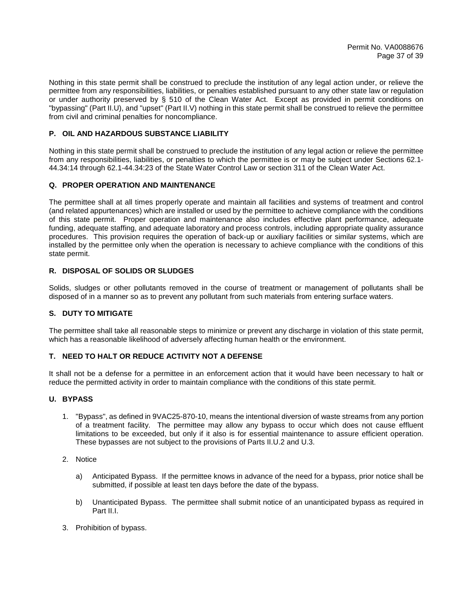Nothing in this state permit shall be construed to preclude the institution of any legal action under, or relieve the permittee from any responsibilities, liabilities, or penalties established pursuant to any other state law or regulation or under authority preserved by § 510 of the Clean Water Act. Except as provided in permit conditions on "bypassing" (Part II.U), and "upset" (Part II.V) nothing in this state permit shall be construed to relieve the permittee from civil and criminal penalties for noncompliance.

# **P. OIL AND HAZARDOUS SUBSTANCE LIABILITY**

Nothing in this state permit shall be construed to preclude the institution of any legal action or relieve the permittee from any responsibilities, liabilities, or penalties to which the permittee is or may be subject under Sections 62.1- 44.34:14 through 62.1-44.34:23 of the State Water Control Law or section 311 of the Clean Water Act.

# **Q. PROPER OPERATION AND MAINTENANCE**

The permittee shall at all times properly operate and maintain all facilities and systems of treatment and control (and related appurtenances) which are installed or used by the permittee to achieve compliance with the conditions of this state permit. Proper operation and maintenance also includes effective plant performance, adequate funding, adequate staffing, and adequate laboratory and process controls, including appropriate quality assurance procedures. This provision requires the operation of back-up or auxiliary facilities or similar systems, which are installed by the permittee only when the operation is necessary to achieve compliance with the conditions of this state permit.

# **R. DISPOSAL OF SOLIDS OR SLUDGES**

Solids, sludges or other pollutants removed in the course of treatment or management of pollutants shall be disposed of in a manner so as to prevent any pollutant from such materials from entering surface waters.

# **S. DUTY TO MITIGATE**

The permittee shall take all reasonable steps to minimize or prevent any discharge in violation of this state permit, which has a reasonable likelihood of adversely affecting human health or the environment.

# **T. NEED TO HALT OR REDUCE ACTIVITY NOT A DEFENSE**

It shall not be a defense for a permittee in an enforcement action that it would have been necessary to halt or reduce the permitted activity in order to maintain compliance with the conditions of this state permit.

## **U. BYPASS**

- 1. "Bypass", as defined in 9VAC25-870-10, means the intentional diversion of waste streams from any portion of a treatment facility. The permittee may allow any bypass to occur which does not cause effluent limitations to be exceeded, but only if it also is for essential maintenance to assure efficient operation. These bypasses are not subject to the provisions of Parts II.U.2 and U.3.
- 2. Notice
	- a) Anticipated Bypass. If the permittee knows in advance of the need for a bypass, prior notice shall be submitted, if possible at least ten days before the date of the bypass.
	- b) Unanticipated Bypass. The permittee shall submit notice of an unanticipated bypass as required in Part II.I.
- 3. Prohibition of bypass.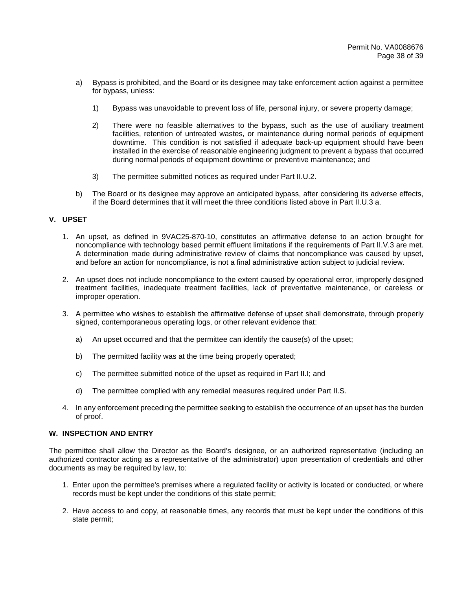- a) Bypass is prohibited, and the Board or its designee may take enforcement action against a permittee for bypass, unless:
	- 1) Bypass was unavoidable to prevent loss of life, personal injury, or severe property damage;
	- 2) There were no feasible alternatives to the bypass, such as the use of auxiliary treatment facilities, retention of untreated wastes, or maintenance during normal periods of equipment downtime. This condition is not satisfied if adequate back-up equipment should have been installed in the exercise of reasonable engineering judgment to prevent a bypass that occurred during normal periods of equipment downtime or preventive maintenance; and
	- 3) The permittee submitted notices as required under Part II.U.2.
- b) The Board or its designee may approve an anticipated bypass, after considering its adverse effects, if the Board determines that it will meet the three conditions listed above in Part II.U.3 a.

## **V. UPSET**

- 1. An upset, as defined in 9VAC25-870-10, constitutes an affirmative defense to an action brought for noncompliance with technology based permit effluent limitations if the requirements of Part II.V.3 are met. A determination made during administrative review of claims that noncompliance was caused by upset, and before an action for noncompliance, is not a final administrative action subject to judicial review.
- 2. An upset does not include noncompliance to the extent caused by operational error, improperly designed treatment facilities, inadequate treatment facilities, lack of preventative maintenance, or careless or improper operation.
- 3. A permittee who wishes to establish the affirmative defense of upset shall demonstrate, through properly signed, contemporaneous operating logs, or other relevant evidence that:
	- a) An upset occurred and that the permittee can identify the cause(s) of the upset;
	- b) The permitted facility was at the time being properly operated;
	- c) The permittee submitted notice of the upset as required in Part II.I; and
	- d) The permittee complied with any remedial measures required under Part II.S.
- 4. In any enforcement preceding the permittee seeking to establish the occurrence of an upset has the burden of proof.

#### **W. INSPECTION AND ENTRY**

The permittee shall allow the Director as the Board's designee, or an authorized representative (including an authorized contractor acting as a representative of the administrator) upon presentation of credentials and other documents as may be required by law, to:

- 1. Enter upon the permittee's premises where a regulated facility or activity is located or conducted, or where records must be kept under the conditions of this state permit;
- 2. Have access to and copy, at reasonable times, any records that must be kept under the conditions of this state permit;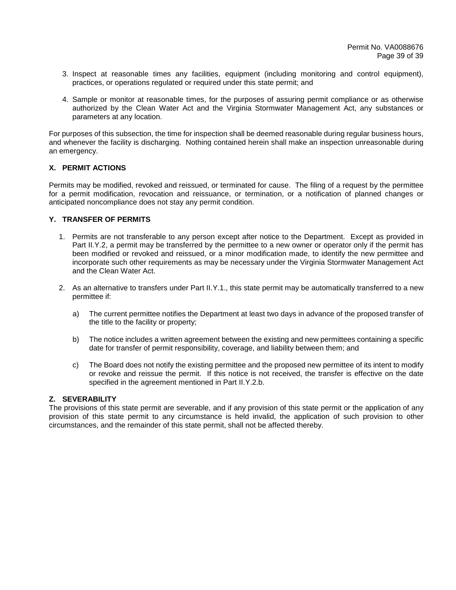- 3. Inspect at reasonable times any facilities, equipment (including monitoring and control equipment), practices, or operations regulated or required under this state permit; and
- 4. Sample or monitor at reasonable times, for the purposes of assuring permit compliance or as otherwise authorized by the Clean Water Act and the Virginia Stormwater Management Act, any substances or parameters at any location.

For purposes of this subsection, the time for inspection shall be deemed reasonable during regular business hours, and whenever the facility is discharging. Nothing contained herein shall make an inspection unreasonable during an emergency.

# **X. PERMIT ACTIONS**

Permits may be modified, revoked and reissued, or terminated for cause. The filing of a request by the permittee for a permit modification, revocation and reissuance, or termination, or a notification of planned changes or anticipated noncompliance does not stay any permit condition.

# **Y. TRANSFER OF PERMITS**

- 1. Permits are not transferable to any person except after notice to the Department. Except as provided in Part II.Y.2, a permit may be transferred by the permittee to a new owner or operator only if the permit has been modified or revoked and reissued, or a minor modification made, to identify the new permittee and incorporate such other requirements as may be necessary under the Virginia Stormwater Management Act and the Clean Water Act.
- 2. As an alternative to transfers under Part II.Y.1., this state permit may be automatically transferred to a new permittee if:
	- a) The current permittee notifies the Department at least two days in advance of the proposed transfer of the title to the facility or property;
	- b) The notice includes a written agreement between the existing and new permittees containing a specific date for transfer of permit responsibility, coverage, and liability between them; and
	- c) The Board does not notify the existing permittee and the proposed new permittee of its intent to modify or revoke and reissue the permit. If this notice is not received, the transfer is effective on the date specified in the agreement mentioned in Part II.Y.2.b.

# **Z. SEVERABILITY**

The provisions of this state permit are severable, and if any provision of this state permit or the application of any provision of this state permit to any circumstance is held invalid, the application of such provision to other circumstances, and the remainder of this state permit, shall not be affected thereby.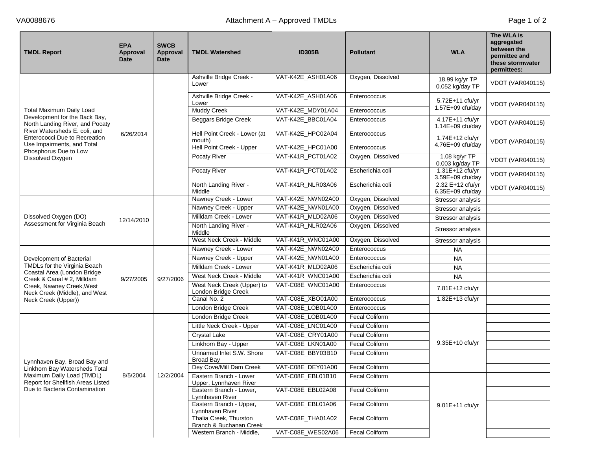| <b>TMDL Report</b>                                                                           | <b>EPA</b><br>Approval<br><b>Date</b> | <b>SWCB</b><br>Approval<br>Date | <b>TMDL Watershed</b>                             | <b>ID305B</b>     | <b>Pollutant</b>      | <b>WLA</b>                           | The WLA is<br>aggregated<br>between the<br>permittee and<br>these stormwater<br>permittees: |                   |  |
|----------------------------------------------------------------------------------------------|---------------------------------------|---------------------------------|---------------------------------------------------|-------------------|-----------------------|--------------------------------------|---------------------------------------------------------------------------------------------|-------------------|--|
|                                                                                              |                                       |                                 | Ashville Bridge Creek -<br>Lower                  | VAT-K42E_ASH01A06 | Oxygen, Dissolved     | 18.99 kg/yr TP<br>0.052 kg/day TP    | <b>VDOT (VAR040115)</b>                                                                     |                   |  |
|                                                                                              |                                       |                                 | Ashville Bridge Creek -<br>Lower                  | VAT-K42E_ASH01A06 | Enterococcus          | $5.72E+11$ cfu/yr                    | <b>VDOT (VAR040115)</b>                                                                     |                   |  |
| Total Maximum Daily Load                                                                     |                                       |                                 | <b>Muddy Creek</b>                                | VAT-K42E_MDY01A04 | Enterococcus          | 1.57E+09 cfu/day                     |                                                                                             |                   |  |
| Development for the Back Bay,<br>North Landing River, and Pocaty                             |                                       |                                 | <b>Beggars Bridge Creek</b>                       | VAT-K42E_BBC01A04 | Enterococcus          | 4.17E+11 cfu/yr<br>1.14E+09 cfu/day  | <b>VDOT (VAR040115)</b>                                                                     |                   |  |
| River Watersheds E. coli, and<br>Enterococci Due to Recreation<br>Use Impairments, and Total | 6/26/2014                             |                                 | Hell Point Creek - Lower (at<br>mouth)            | VAT-K42E_HPC02A04 | Enterococcus          | 1.74E+12 cfu/yr                      | <b>VDOT (VAR040115)</b>                                                                     |                   |  |
| Phosphorus Due to Low                                                                        |                                       |                                 | <b>Hell Point Creek - Upper</b>                   | VAT-K42E_HPC01A00 | Enterococcus          | 4.76E+09 cfu/day                     |                                                                                             |                   |  |
| Dissolved Oxygen                                                                             |                                       |                                 | Pocaty River                                      | VAT-K41R_PCT01A02 | Oxygen, Dissolved     | 1.08 kg/yr TP<br>0.003 kg/day TP     | <b>VDOT (VAR040115)</b>                                                                     |                   |  |
|                                                                                              |                                       |                                 | Pocaty River                                      | VAT-K41R_PCT01A02 | Escherichia coli      | 1.31E+12 cfu/yr<br>3.59E+09 cfu/day  | <b>VDOT (VAR040115)</b>                                                                     |                   |  |
|                                                                                              |                                       |                                 | North Landing River -<br>Middle                   | VAT-K41R_NLR03A06 | Escherichia coli      | 2.32 E+12 cfu/yr<br>6.35E+09 cfu/day | <b>VDOT (VAR040115)</b>                                                                     |                   |  |
|                                                                                              |                                       |                                 |                                                   |                   | Nawney Creek - Lower  | VAT-K42E_NWN02A00                    | Oxygen, Dissolved                                                                           | Stressor analysis |  |
|                                                                                              |                                       |                                 | Nawney Creek - Upper                              | VAT-K42E_NWN01A00 | Oxygen, Dissolved     | Stressor analysis                    |                                                                                             |                   |  |
| Dissolved Oxygen (DO)                                                                        | 12/14/2010                            |                                 | Milldam Creek - Lower                             | VAT-K41R_MLD02A06 | Oxygen, Dissolved     | Stressor analysis                    |                                                                                             |                   |  |
| Assessment for Virginia Beach                                                                |                                       |                                 | North Landing River -<br>Middle                   | VAT-K41R_NLR02A06 | Oxygen, Dissolved     | Stressor analysis                    |                                                                                             |                   |  |
|                                                                                              |                                       |                                 | West Neck Creek - Middle                          | VAT-K41R_WNC01A00 | Oxygen, Dissolved     | Stressor analysis                    |                                                                                             |                   |  |
|                                                                                              |                                       |                                 | Nawney Creek - Lower                              | VAT-K42E_NWN02A00 | Enterococcus          | <b>NA</b>                            |                                                                                             |                   |  |
| Development of Bacterial                                                                     |                                       |                                 | Nawney Creek - Upper                              | VAT-K42E_NWN01A00 | Enterococcus          | <b>NA</b>                            |                                                                                             |                   |  |
| TMDLs for the Virginia Beach<br>Coastal Area (London Bridge                                  |                                       |                                 | Milldam Creek - Lower                             | VAT-K41R_MLD02A06 | Escherichia coli      | <b>NA</b>                            |                                                                                             |                   |  |
| Creek & Canal # 2, Milldam                                                                   | 9/27/2005                             | 9/27/2006                       | West Neck Creek - Middle                          | VAT-K41R_WNC01A00 | Escherichia coli      | <b>NA</b>                            |                                                                                             |                   |  |
| Creek, Nawney Creek, West<br>Neck Creek (Middle), and West                                   |                                       |                                 | West Neck Creek (Upper) to<br>London Bridge Creek | VAT-C08E_WNC01A00 | Enterococcus          | 7.81E+12 cfu/yr                      |                                                                                             |                   |  |
| Neck Creek (Upper))                                                                          |                                       |                                 | Canal No. 2                                       | VAT-C08E_XBO01A00 | Enterococcus          | 1.82E+13 cfu/yr                      |                                                                                             |                   |  |
|                                                                                              |                                       |                                 | London Bridge Creek                               | VAT-C08E_LOB01A00 | Enterococcus          |                                      |                                                                                             |                   |  |
|                                                                                              |                                       |                                 | London Bridge Creek                               | VAT-C08E_LOB01A00 | <b>Fecal Coliform</b> |                                      |                                                                                             |                   |  |
|                                                                                              |                                       |                                 | Little Neck Creek - Upper                         | VAT-C08E_LNC01A00 | <b>Fecal Coliform</b> |                                      |                                                                                             |                   |  |
|                                                                                              |                                       |                                 | Crystal Lake                                      | VAT-C08E_CRY01A00 | <b>Fecal Coliform</b> |                                      |                                                                                             |                   |  |
|                                                                                              |                                       |                                 | Linkhorn Bay - Upper                              | VAT-C08E_LKN01A00 | Fecal Coliform        | 9.35E+10 cfu/yr                      |                                                                                             |                   |  |
| Lynnhaven Bay, Broad Bay and                                                                 |                                       |                                 | Unnamed Inlet S.W. Shore<br><b>Broad Bay</b>      | VAT-C08E_BBY03B10 | Fecal Coliform        |                                      |                                                                                             |                   |  |
| Linkhorn Bay Watersheds Total                                                                |                                       |                                 | Dey Cove/Mill Dam Creek                           | VAT-C08E_DEY01A00 | <b>Fecal Coliform</b> |                                      |                                                                                             |                   |  |
| Maximum Daily Load (TMDL)<br>Report for Shellfish Areas Listed                               | 8/5/2004                              | 12/2/2004                       | Eastern Branch - Lower<br>Upper, Lynnhaven River  | VAT-C08E EBL01B10 | Fecal Coliform        |                                      |                                                                                             |                   |  |
| Due to Bacteria Contamination                                                                |                                       |                                 | Eastern Branch - Lower,<br>Lynnhaven River        | VAT-C08E_EBL02A08 | Fecal Coliform        |                                      |                                                                                             |                   |  |
|                                                                                              |                                       |                                 | Eastern Branch - Upper,<br>Lynnhaven River        | VAT-C08E_EBL01A06 | Fecal Coliform        | 9.01E+11 cfu/yr                      |                                                                                             |                   |  |
|                                                                                              |                                       |                                 | Thalia Creek, Thurston<br>Branch & Buchanan Creek | VAT-C08E_THA01A02 | Fecal Coliform        |                                      |                                                                                             |                   |  |
|                                                                                              |                                       |                                 | Western Branch - Middle,                          | VAT-C08E_WES02A06 | <b>Fecal Coliform</b> |                                      |                                                                                             |                   |  |